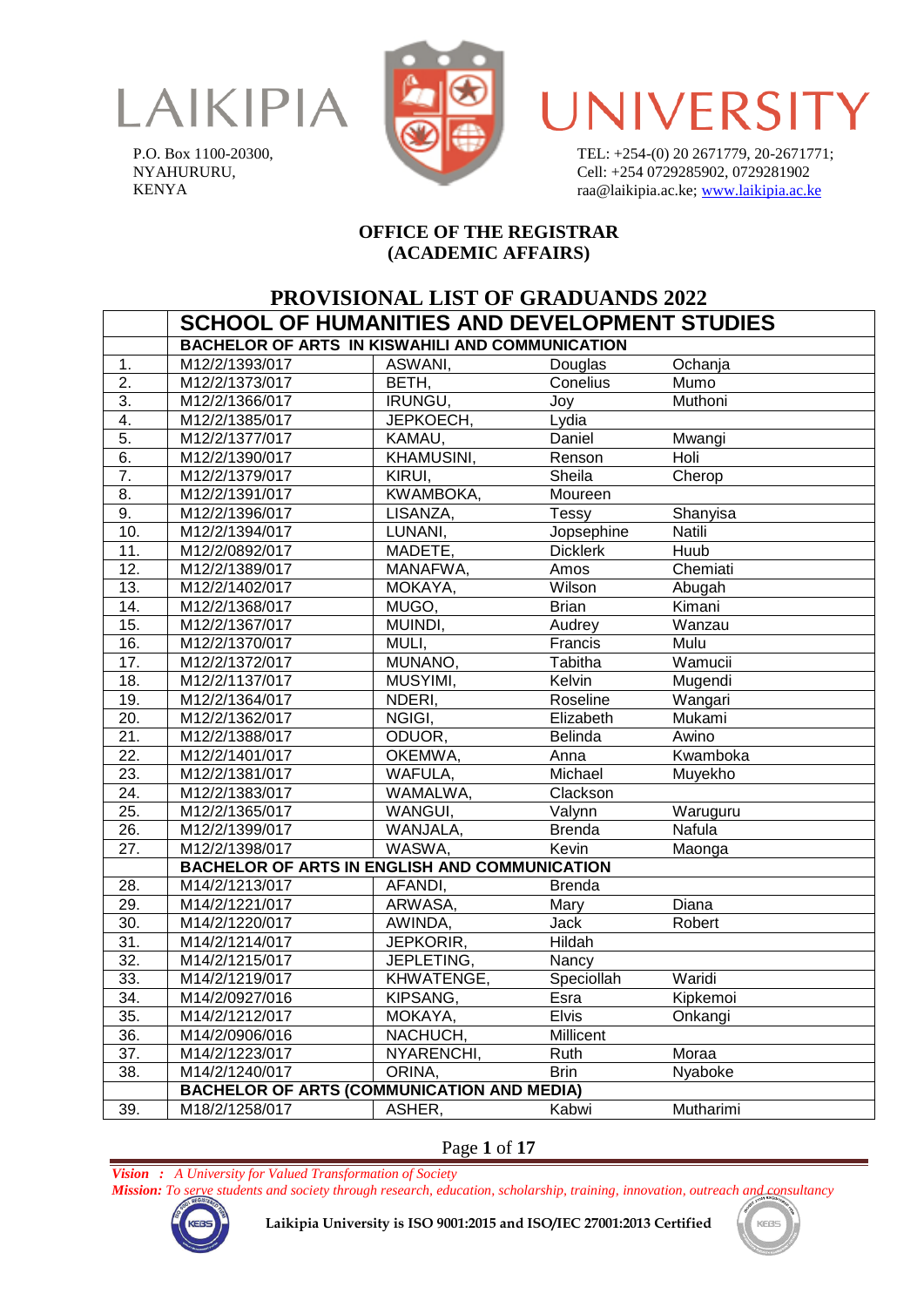

P.O. Box 1100-20300, NYAHURURU, KENYA





TEL: +254-(0) 20 2671779, 20-2671771; Cell: +254 0729285902, 0729281902 raa@laikipia.ac.ke; [www.laikipia.ac.ke](http://www.laikipia.ac.ke/)

#### **OFFICE OF THE REGISTRAR (ACADEMIC AFFAIRS)**

| PROVISIONAL LIST OF GRADUANDS 2022 |                |                                                        |                 |           |  |
|------------------------------------|----------------|--------------------------------------------------------|-----------------|-----------|--|
|                                    |                | <b>SCHOOL OF HUMANITIES AND DEVELOPMENT STUDIES</b>    |                 |           |  |
|                                    |                | <b>BACHELOR OF ARTS IN KISWAHILI AND COMMUNICATION</b> |                 |           |  |
| 1.                                 | M12/2/1393/017 | ASWANI,                                                | Douglas         | Ochanja   |  |
| $\overline{2}$ .                   | M12/2/1373/017 | BETH,                                                  | Conelius        | Mumo      |  |
| $\overline{3}$ .                   | M12/2/1366/017 | <b>IRUNGU,</b>                                         | Joy             | Muthoni   |  |
| 4.                                 | M12/2/1385/017 | JEPKOECH,                                              | Lydia           |           |  |
| $\overline{5}$ .                   | M12/2/1377/017 | KAMAU,                                                 | Daniel          | Mwangi    |  |
| $\overline{6}$ .                   | M12/2/1390/017 | <b>KHAMUSINI,</b>                                      | Renson          | Holi      |  |
| 7.                                 | M12/2/1379/017 | KIRUI,                                                 | Sheila          | Cherop    |  |
| 8.                                 | M12/2/1391/017 | KWAMBOKA,                                              | Moureen         |           |  |
| 9.                                 | M12/2/1396/017 | LISANZA,                                               | Tessy           | Shanyisa  |  |
| 10.                                | M12/2/1394/017 | LUNANI,                                                | Jopsephine      | Natili    |  |
| 11.                                | M12/2/0892/017 | MADETE,                                                | <b>Dicklerk</b> | Huub      |  |
| 12.                                | M12/2/1389/017 | MANAFWA,                                               | Amos            | Chemiati  |  |
| 13.                                | M12/2/1402/017 | MOKAYA,                                                | Wilson          | Abugah    |  |
| 14.                                | M12/2/1368/017 | MUGO,                                                  | <b>Brian</b>    | Kimani    |  |
| 15.                                | M12/2/1367/017 | MUINDI,                                                | Audrey          | Wanzau    |  |
| 16.                                | M12/2/1370/017 | MULI,                                                  | Francis         | Mulu      |  |
| 17.                                | M12/2/1372/017 | MUNANO,                                                | Tabitha         | Wamucii   |  |
| 18.                                | M12/2/1137/017 | MUSYIMI,                                               | Kelvin          | Mugendi   |  |
| 19.                                | M12/2/1364/017 | NDERI,                                                 | Roseline        | Wangari   |  |
| 20.                                | M12/2/1362/017 | NGIGI,                                                 | Elizabeth       | Mukami    |  |
| 21.                                | M12/2/1388/017 | ODUOR,                                                 | <b>Belinda</b>  | Awino     |  |
| 22.                                | M12/2/1401/017 | OKEMWA,                                                | Anna            | Kwamboka  |  |
| 23.                                | M12/2/1381/017 | WAFULA,                                                | Michael         | Muyekho   |  |
| 24.                                | M12/2/1383/017 | WAMALWA,                                               | Clackson        |           |  |
| 25.                                | M12/2/1365/017 | WANGUI,                                                | Valynn          | Waruguru  |  |
| 26.                                | M12/2/1399/017 | WANJALA,                                               | <b>Brenda</b>   | Nafula    |  |
| 27.                                | M12/2/1398/017 | WASWA,                                                 | Kevin           | Maonga    |  |
|                                    |                | <b>BACHELOR OF ARTS IN ENGLISH AND COMMUNICATION</b>   |                 |           |  |
| 28.                                | M14/2/1213/017 | AFANDI,                                                | <b>Brenda</b>   |           |  |
| 29.                                | M14/2/1221/017 | ARWASA,                                                | Mary            | Diana     |  |
| 30.                                | M14/2/1220/017 | AWINDA,                                                | <b>Jack</b>     | Robert    |  |
| 31.                                | M14/2/1214/017 | JEPKORIR,                                              | Hildah          |           |  |
| 32.                                | M14/2/1215/017 | JEPLETING,                                             | Nancy           |           |  |
| 33.                                | M14/2/1219/017 | KHWATENGE,                                             | Speciollah      | Waridi    |  |
| 34.                                | M14/2/0927/016 | KIPSANG,                                               | Esra            | Kipkemoi  |  |
| 35.                                | M14/2/1212/017 | MOKAYA,                                                | <b>Elvis</b>    | Onkangi   |  |
| 36.                                | M14/2/0906/016 | NACHUCH,                                               | Millicent       |           |  |
| 37.                                | M14/2/1223/017 | NYARENCHI,                                             | Ruth            | Moraa     |  |
| 38.                                | M14/2/1240/017 | ORINA,                                                 | <b>Brin</b>     | Nyaboke   |  |
|                                    |                | <b>BACHELOR OF ARTS (COMMUNICATION AND MEDIA)</b>      |                 |           |  |
| 39.                                | M18/2/1258/017 | ASHER,                                                 | Kabwi           | Mutharimi |  |

#### Page **1** of **17**

*Vision : A University for Valued Transformation of Society*

*Mission: To serve students and society through research, education, scholarship, training, innovation, outreach and consultancy*



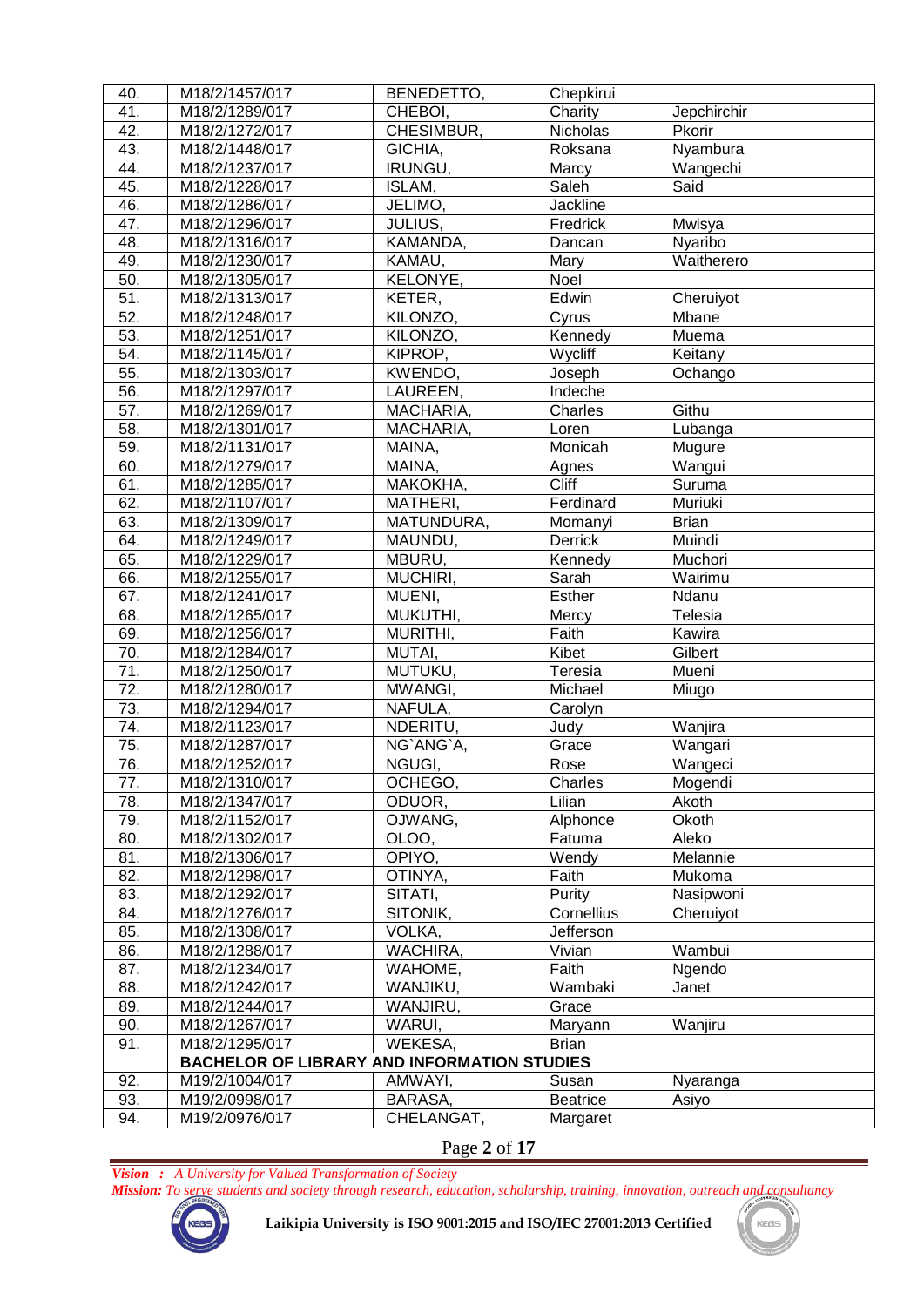| 40.               | M18/2/1457/017                                     | BENEDETTO, | Chepkirui       |              |
|-------------------|----------------------------------------------------|------------|-----------------|--------------|
| 41.               | M18/2/1289/017                                     | CHEBOI,    | Charity         | Jepchirchir  |
| 42.               | M18/2/1272/017                                     | CHESIMBUR, | Nicholas        | Pkorir       |
| 43.               | M18/2/1448/017                                     | GICHIA,    | Roksana         | Nyambura     |
| 44.               | M18/2/1237/017                                     | IRUNGU,    | Marcy           | Wangechi     |
| 45.               | M18/2/1228/017                                     | ISLAM,     | Saleh           | Said         |
| 46.               | M18/2/1286/017                                     | JELIMO,    | Jackline        |              |
| 47.               | M18/2/1296/017                                     | JULIUS,    | Fredrick        | Mwisya       |
| 48.               | M18/2/1316/017                                     | KAMANDA,   | Dancan          | Nyaribo      |
| 49.               | M18/2/1230/017                                     | KAMAU,     | Mary            | Waitherero   |
| 50.               | M18/2/1305/017                                     | KELONYE,   | Noel            |              |
| 51.               | M18/2/1313/017                                     | KETER,     | Edwin           | Cheruiyot    |
| 52.               | M18/2/1248/017                                     | KILONZO,   | Cyrus           | Mbane        |
| 53.               | M18/2/1251/017                                     | KILONZO,   | Kennedy         | Muema        |
| 54.               | M18/2/1145/017                                     | KIPROP,    | Wycliff         | Keitany      |
| 55.               | M18/2/1303/017                                     | KWENDO,    | Joseph          | Ochango      |
| 56.               | M18/2/1297/017                                     | LAUREEN,   | Indeche         |              |
| 57.               | M18/2/1269/017                                     | MACHARIA,  | Charles         | Githu        |
| 58.               | M18/2/1301/017                                     | MACHARIA,  | Loren           | Lubanga      |
| 59.               | M18/2/1131/017                                     | MAINA,     | Monicah         | Mugure       |
| 60.               | M18/2/1279/017                                     | MAINA,     | Agnes           | Wangui       |
| 61.               | M18/2/1285/017                                     | MAKOKHA,   | Cliff           | Suruma       |
| 62.               | M18/2/1107/017                                     | MATHERI,   | Ferdinard       | Muriuki      |
| 63.               | M18/2/1309/017                                     | MATUNDURA, | Momanyi         | <b>Brian</b> |
| 64.               | M18/2/1249/017                                     | MAUNDU,    | Derrick         | Muindi       |
| 65.               | M18/2/1229/017                                     | MBURU,     | Kennedy         | Muchori      |
| 66.               | M18/2/1255/017                                     | MUCHIRI,   | Sarah           | Wairimu      |
| 67.               | M18/2/1241/017                                     | MUENI,     | Esther          | Ndanu        |
| 68.               | M18/2/1265/017                                     | MUKUTHI,   | Mercy           | Telesia      |
| 69.               | M18/2/1256/017                                     | MURITHI,   | Faith           | Kawira       |
| 70.               | M18/2/1284/017                                     | MUTAI,     | Kibet           | Gilbert      |
| $\overline{71}$   | M18/2/1250/017                                     | MUTUKU,    | Teresia         | Mueni        |
| $\overline{72}$ . | M18/2/1280/017                                     | MWANGI,    | Michael         | Miugo        |
| 73.               | M18/2/1294/017                                     | NAFULA,    | Carolyn         |              |
| 74.               | M18/2/1123/017                                     | NDERITU,   | Judy            | Wanjira      |
| 75.               | M18/2/1287/017                                     | NG`ANG`A,  | Grace           | Wangari      |
| 76.               | M18/2/1252/017                                     | NGUGI,     | Rose            | Wangeci      |
| 77.               | M18/2/1310/017                                     | OCHEGO,    | Charles         | Mogendi      |
| 78.               | M18/2/1347/017                                     | ODUOR,     | Lilian          | Akoth        |
| 79.               | M18/2/1152/017                                     | OJWANG,    | Alphonce        | Okoth        |
| 80.               | M18/2/1302/017                                     | OLOO,      | Fatuma          | Aleko        |
| 81.               | M18/2/1306/017                                     | OPIYO,     | Wendy           | Melannie     |
| 82.               | M18/2/1298/017                                     | OTINYA,    | Faith           | Mukoma       |
| 83.               | M18/2/1292/017                                     | SITATI,    | Purity          | Nasipwoni    |
| 84.               | M18/2/1276/017                                     | SITONIK,   | Cornellius      | Cheruiyot    |
| 85.               | M18/2/1308/017                                     | VOLKA,     | Jefferson       |              |
| 86.               | M18/2/1288/017                                     | WACHIRA,   | Vivian          | Wambui       |
| 87.               | M18/2/1234/017                                     | WAHOME,    | Faith           | Ngendo       |
| 88.               | M18/2/1242/017                                     | WANJIKU,   | Wambaki         | Janet        |
| 89.               | M18/2/1244/017                                     | WANJIRU,   | Grace           |              |
| 90.               | M18/2/1267/017                                     | WARUI,     | Maryann         | Wanjiru      |
| 91.               | M18/2/1295/017                                     | WEKESA,    | <b>Brian</b>    |              |
|                   | <b>BACHELOR OF LIBRARY AND INFORMATION STUDIES</b> |            |                 |              |
| 92.               | M19/2/1004/017                                     | AMWAYI,    | Susan           | Nyaranga     |
| 93.               | M19/2/0998/017                                     | BARASA,    | <b>Beatrice</b> | Asiyo        |
| 94.               | M19/2/0976/017                                     | CHELANGAT, | Margaret        |              |

### Page **2** of **17**

*Vision : A University for Valued Transformation of Society Mission: To serve students and society through research, education, scholarship, training, innovation, outreach and consultancy*



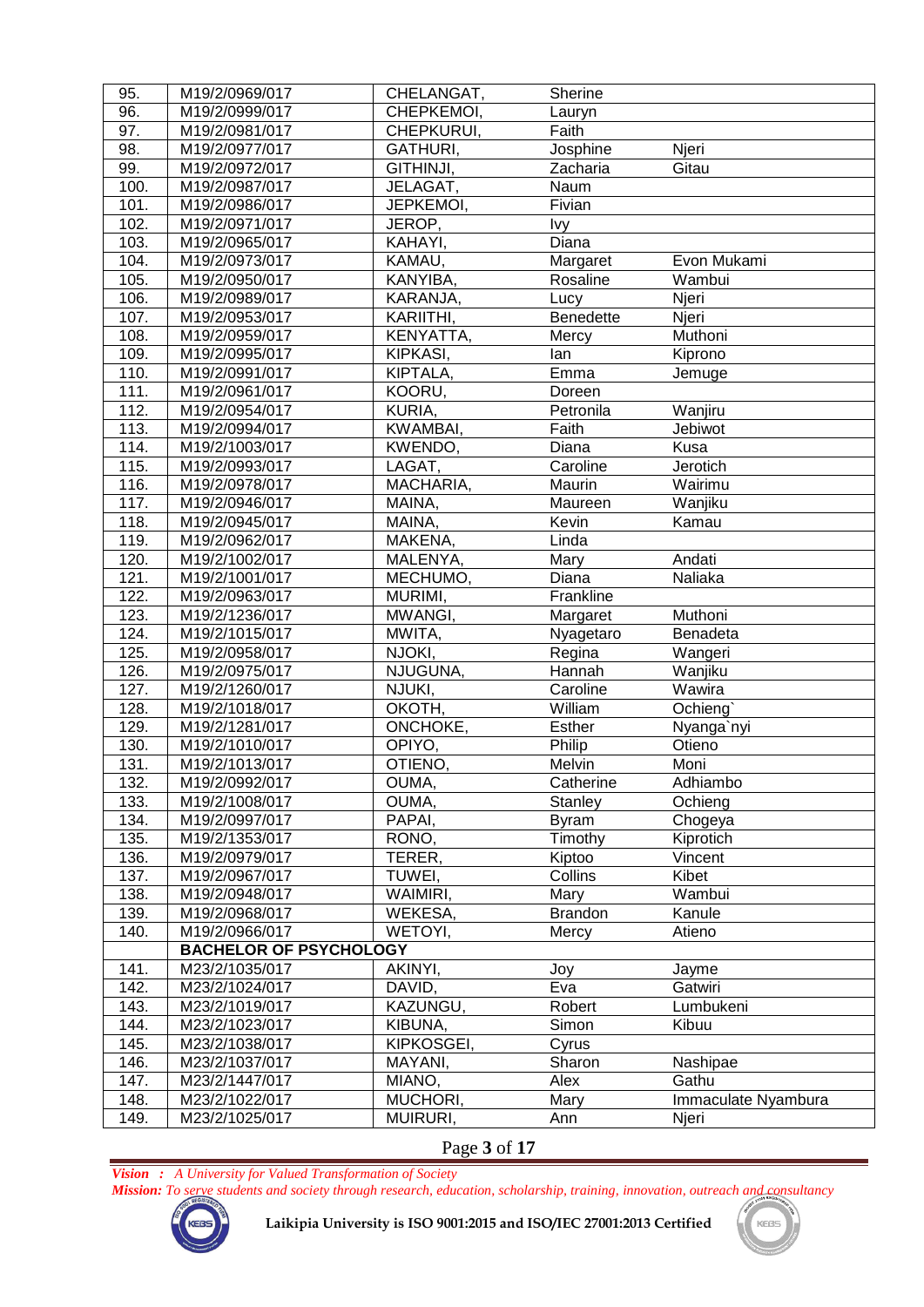| 96.<br>CHEPKEMOI,<br>M19/2/0999/017<br>Lauryn<br>97.<br>Faith<br>M19/2/0981/017<br>CHEPKURUI,<br>98.<br>M19/2/0977/017<br>GATHURI,<br>Josphine<br>Njeri<br>99.<br>Gitau<br>M19/2/0972/017<br>GITHINJI,<br>Zacharia<br>100.<br>M19/2/0987/017<br>JELAGAT,<br>Naum<br>101.<br>JEPKEMOI,<br>Fivian<br>M19/2/0986/017<br>102.<br>JEROP,<br>M19/2/0971/017<br>Ivy<br>103.<br>KAHAYI,<br>Diana<br>M19/2/0965/017<br>104.<br>M19/2/0973/017<br>KAMAU,<br>Margaret<br>Evon Mukami<br>105.<br>KANYIBA,<br>Wambui<br>M19/2/0950/017<br>Rosaline<br>106.<br>KARANJA,<br>M19/2/0989/017<br>Njeri<br>Lucy<br>107.<br>Benedette<br>KARIITHI,<br>M19/2/0953/017<br>Njeri<br>108.<br>Muthoni<br>M19/2/0959/017<br>KENYATTA,<br>Mercy<br>109.<br>M19/2/0995/017<br>KIPKASI,<br>Kiprono<br>lan<br>110.<br>KIPTALA,<br>Emma<br>M19/2/0991/017<br>Jemuge<br>111.<br>KOORU,<br>M19/2/0961/017<br>Doreen<br>112.<br>M19/2/0954/017<br>KURIA,<br>Petronila<br>Wanjiru<br>113.<br>KWAMBAI,<br>Faith<br>M19/2/0994/017<br>Jebiwot<br>114.<br>KWENDO,<br>Kusa<br>M19/2/1003/017<br>Diana<br>115.<br>Caroline<br>Jerotich<br>M19/2/0993/017<br>LAGAT,<br>116.<br>MACHARIA,<br>M19/2/0978/017<br>Maurin<br>Wairimu<br>117.<br>M19/2/0946/017<br>MAINA,<br>Maureen<br>Wanjiku<br>118.<br>M19/2/0945/017<br>MAINA,<br>Kevin<br>Kamau<br>MAKENA,<br>119.<br>M19/2/0962/017<br>Linda<br>120.<br>MALENYA,<br>Andati<br>M19/2/1002/017<br>Mary<br>121.<br>Naliaka<br>M19/2/1001/017<br>MECHUMO,<br>Diana<br>122.<br>Frankline<br>MURIMI,<br>M19/2/0963/017<br>123.<br>MWANGI,<br>M19/2/1236/017<br>Margaret<br>Muthoni<br>124.<br>MWITA,<br>Benadeta<br>M19/2/1015/017<br>Nyagetaro<br>125.<br>NJOKI,<br>Regina<br>Wangeri<br>M19/2/0958/017<br>126.<br>NJUGUNA,<br>Hannah<br>Wanjiku<br>M19/2/0975/017<br>127.<br>Caroline<br>NJUKI,<br>Wawira<br>M19/2/1260/017<br>128.<br>ОКОТН,<br>William<br>Ochieng`<br>M19/2/1018/017<br>129.<br>ONCHOKE,<br>Esther<br>M19/2/1281/017<br>Nyanga'nyi<br>130.<br>OPIYO,<br>Philip<br>Otieno<br>M19/2/1010/017<br>131.<br>OTIENO,<br>Melvin<br>Moni<br>M19/2/1013/017<br>132.<br>M19/2/0992/017<br>OUMA,<br>Catherine<br>Adhiambo<br>133.<br>Stanley<br>M19/2/1008/017<br>OUMA,<br>Ochieng<br>134.<br>PAPAI,<br>M19/2/0997/017<br><b>Byram</b><br>Chogeya<br>135.<br>RONO,<br>Timothy<br>Kiprotich<br>M19/2/1353/017<br>136.<br>TERER,<br>Vincent<br>M19/2/0979/017<br>Kiptoo<br>137.<br>Collins<br>Kibet<br>M19/2/0967/017<br>TUWEI,<br>138.<br>Wambui<br>M19/2/0948/017<br>WAIMIRI,<br>Mary<br>139.<br><b>Brandon</b><br>Kanule<br>M19/2/0968/017<br>WEKESA,<br>140.<br>M19/2/0966/017<br>WETOYI,<br>Mercy<br>Atieno<br><b>BACHELOR OF PSYCHOLOGY</b><br>141.<br>AKINYI,<br>M23/2/1035/017<br>Joy<br>Jayme<br>142.<br>DAVID,<br>Eva<br>M23/2/1024/017<br>Gatwiri<br>143.<br>KAZUNGU,<br>M23/2/1019/017<br>Robert<br>Lumbukeni<br>144.<br>Simon<br>M23/2/1023/017<br>KIBUNA,<br>Kibuu<br>145.<br>M23/2/1038/017<br>KIPKOSGEI,<br>Cyrus<br>146.<br>Sharon<br>Nashipae<br>M23/2/1037/017<br>MAYANI,<br>147.<br>Gathu<br>MIANO,<br>Alex<br>M23/2/1447/017<br>148.<br>MUCHORI,<br>Mary<br>Immaculate Nyambura<br>M23/2/1022/017<br>149.<br>MUIRURI,<br>M23/2/1025/017<br>Njeri<br>Ann | 95. | M19/2/0969/017 | CHELANGAT, | Sherine |  |
|--------------------------------------------------------------------------------------------------------------------------------------------------------------------------------------------------------------------------------------------------------------------------------------------------------------------------------------------------------------------------------------------------------------------------------------------------------------------------------------------------------------------------------------------------------------------------------------------------------------------------------------------------------------------------------------------------------------------------------------------------------------------------------------------------------------------------------------------------------------------------------------------------------------------------------------------------------------------------------------------------------------------------------------------------------------------------------------------------------------------------------------------------------------------------------------------------------------------------------------------------------------------------------------------------------------------------------------------------------------------------------------------------------------------------------------------------------------------------------------------------------------------------------------------------------------------------------------------------------------------------------------------------------------------------------------------------------------------------------------------------------------------------------------------------------------------------------------------------------------------------------------------------------------------------------------------------------------------------------------------------------------------------------------------------------------------------------------------------------------------------------------------------------------------------------------------------------------------------------------------------------------------------------------------------------------------------------------------------------------------------------------------------------------------------------------------------------------------------------------------------------------------------------------------------------------------------------------------------------------------------------------------------------------------------------------------------------------------------------------------------------------------------------------------------------------------------------------------------------------------------------------------------------------------------------------------------------------------------------------------------------------------------------------------------------------------------------------------------------------------------------------------------------------------------------------|-----|----------------|------------|---------|--|
|                                                                                                                                                                                                                                                                                                                                                                                                                                                                                                                                                                                                                                                                                                                                                                                                                                                                                                                                                                                                                                                                                                                                                                                                                                                                                                                                                                                                                                                                                                                                                                                                                                                                                                                                                                                                                                                                                                                                                                                                                                                                                                                                                                                                                                                                                                                                                                                                                                                                                                                                                                                                                                                                                                                                                                                                                                                                                                                                                                                                                                                                                                                                                                                      |     |                |            |         |  |
|                                                                                                                                                                                                                                                                                                                                                                                                                                                                                                                                                                                                                                                                                                                                                                                                                                                                                                                                                                                                                                                                                                                                                                                                                                                                                                                                                                                                                                                                                                                                                                                                                                                                                                                                                                                                                                                                                                                                                                                                                                                                                                                                                                                                                                                                                                                                                                                                                                                                                                                                                                                                                                                                                                                                                                                                                                                                                                                                                                                                                                                                                                                                                                                      |     |                |            |         |  |
|                                                                                                                                                                                                                                                                                                                                                                                                                                                                                                                                                                                                                                                                                                                                                                                                                                                                                                                                                                                                                                                                                                                                                                                                                                                                                                                                                                                                                                                                                                                                                                                                                                                                                                                                                                                                                                                                                                                                                                                                                                                                                                                                                                                                                                                                                                                                                                                                                                                                                                                                                                                                                                                                                                                                                                                                                                                                                                                                                                                                                                                                                                                                                                                      |     |                |            |         |  |
|                                                                                                                                                                                                                                                                                                                                                                                                                                                                                                                                                                                                                                                                                                                                                                                                                                                                                                                                                                                                                                                                                                                                                                                                                                                                                                                                                                                                                                                                                                                                                                                                                                                                                                                                                                                                                                                                                                                                                                                                                                                                                                                                                                                                                                                                                                                                                                                                                                                                                                                                                                                                                                                                                                                                                                                                                                                                                                                                                                                                                                                                                                                                                                                      |     |                |            |         |  |
|                                                                                                                                                                                                                                                                                                                                                                                                                                                                                                                                                                                                                                                                                                                                                                                                                                                                                                                                                                                                                                                                                                                                                                                                                                                                                                                                                                                                                                                                                                                                                                                                                                                                                                                                                                                                                                                                                                                                                                                                                                                                                                                                                                                                                                                                                                                                                                                                                                                                                                                                                                                                                                                                                                                                                                                                                                                                                                                                                                                                                                                                                                                                                                                      |     |                |            |         |  |
|                                                                                                                                                                                                                                                                                                                                                                                                                                                                                                                                                                                                                                                                                                                                                                                                                                                                                                                                                                                                                                                                                                                                                                                                                                                                                                                                                                                                                                                                                                                                                                                                                                                                                                                                                                                                                                                                                                                                                                                                                                                                                                                                                                                                                                                                                                                                                                                                                                                                                                                                                                                                                                                                                                                                                                                                                                                                                                                                                                                                                                                                                                                                                                                      |     |                |            |         |  |
|                                                                                                                                                                                                                                                                                                                                                                                                                                                                                                                                                                                                                                                                                                                                                                                                                                                                                                                                                                                                                                                                                                                                                                                                                                                                                                                                                                                                                                                                                                                                                                                                                                                                                                                                                                                                                                                                                                                                                                                                                                                                                                                                                                                                                                                                                                                                                                                                                                                                                                                                                                                                                                                                                                                                                                                                                                                                                                                                                                                                                                                                                                                                                                                      |     |                |            |         |  |
|                                                                                                                                                                                                                                                                                                                                                                                                                                                                                                                                                                                                                                                                                                                                                                                                                                                                                                                                                                                                                                                                                                                                                                                                                                                                                                                                                                                                                                                                                                                                                                                                                                                                                                                                                                                                                                                                                                                                                                                                                                                                                                                                                                                                                                                                                                                                                                                                                                                                                                                                                                                                                                                                                                                                                                                                                                                                                                                                                                                                                                                                                                                                                                                      |     |                |            |         |  |
|                                                                                                                                                                                                                                                                                                                                                                                                                                                                                                                                                                                                                                                                                                                                                                                                                                                                                                                                                                                                                                                                                                                                                                                                                                                                                                                                                                                                                                                                                                                                                                                                                                                                                                                                                                                                                                                                                                                                                                                                                                                                                                                                                                                                                                                                                                                                                                                                                                                                                                                                                                                                                                                                                                                                                                                                                                                                                                                                                                                                                                                                                                                                                                                      |     |                |            |         |  |
|                                                                                                                                                                                                                                                                                                                                                                                                                                                                                                                                                                                                                                                                                                                                                                                                                                                                                                                                                                                                                                                                                                                                                                                                                                                                                                                                                                                                                                                                                                                                                                                                                                                                                                                                                                                                                                                                                                                                                                                                                                                                                                                                                                                                                                                                                                                                                                                                                                                                                                                                                                                                                                                                                                                                                                                                                                                                                                                                                                                                                                                                                                                                                                                      |     |                |            |         |  |
|                                                                                                                                                                                                                                                                                                                                                                                                                                                                                                                                                                                                                                                                                                                                                                                                                                                                                                                                                                                                                                                                                                                                                                                                                                                                                                                                                                                                                                                                                                                                                                                                                                                                                                                                                                                                                                                                                                                                                                                                                                                                                                                                                                                                                                                                                                                                                                                                                                                                                                                                                                                                                                                                                                                                                                                                                                                                                                                                                                                                                                                                                                                                                                                      |     |                |            |         |  |
|                                                                                                                                                                                                                                                                                                                                                                                                                                                                                                                                                                                                                                                                                                                                                                                                                                                                                                                                                                                                                                                                                                                                                                                                                                                                                                                                                                                                                                                                                                                                                                                                                                                                                                                                                                                                                                                                                                                                                                                                                                                                                                                                                                                                                                                                                                                                                                                                                                                                                                                                                                                                                                                                                                                                                                                                                                                                                                                                                                                                                                                                                                                                                                                      |     |                |            |         |  |
|                                                                                                                                                                                                                                                                                                                                                                                                                                                                                                                                                                                                                                                                                                                                                                                                                                                                                                                                                                                                                                                                                                                                                                                                                                                                                                                                                                                                                                                                                                                                                                                                                                                                                                                                                                                                                                                                                                                                                                                                                                                                                                                                                                                                                                                                                                                                                                                                                                                                                                                                                                                                                                                                                                                                                                                                                                                                                                                                                                                                                                                                                                                                                                                      |     |                |            |         |  |
|                                                                                                                                                                                                                                                                                                                                                                                                                                                                                                                                                                                                                                                                                                                                                                                                                                                                                                                                                                                                                                                                                                                                                                                                                                                                                                                                                                                                                                                                                                                                                                                                                                                                                                                                                                                                                                                                                                                                                                                                                                                                                                                                                                                                                                                                                                                                                                                                                                                                                                                                                                                                                                                                                                                                                                                                                                                                                                                                                                                                                                                                                                                                                                                      |     |                |            |         |  |
|                                                                                                                                                                                                                                                                                                                                                                                                                                                                                                                                                                                                                                                                                                                                                                                                                                                                                                                                                                                                                                                                                                                                                                                                                                                                                                                                                                                                                                                                                                                                                                                                                                                                                                                                                                                                                                                                                                                                                                                                                                                                                                                                                                                                                                                                                                                                                                                                                                                                                                                                                                                                                                                                                                                                                                                                                                                                                                                                                                                                                                                                                                                                                                                      |     |                |            |         |  |
|                                                                                                                                                                                                                                                                                                                                                                                                                                                                                                                                                                                                                                                                                                                                                                                                                                                                                                                                                                                                                                                                                                                                                                                                                                                                                                                                                                                                                                                                                                                                                                                                                                                                                                                                                                                                                                                                                                                                                                                                                                                                                                                                                                                                                                                                                                                                                                                                                                                                                                                                                                                                                                                                                                                                                                                                                                                                                                                                                                                                                                                                                                                                                                                      |     |                |            |         |  |
|                                                                                                                                                                                                                                                                                                                                                                                                                                                                                                                                                                                                                                                                                                                                                                                                                                                                                                                                                                                                                                                                                                                                                                                                                                                                                                                                                                                                                                                                                                                                                                                                                                                                                                                                                                                                                                                                                                                                                                                                                                                                                                                                                                                                                                                                                                                                                                                                                                                                                                                                                                                                                                                                                                                                                                                                                                                                                                                                                                                                                                                                                                                                                                                      |     |                |            |         |  |
|                                                                                                                                                                                                                                                                                                                                                                                                                                                                                                                                                                                                                                                                                                                                                                                                                                                                                                                                                                                                                                                                                                                                                                                                                                                                                                                                                                                                                                                                                                                                                                                                                                                                                                                                                                                                                                                                                                                                                                                                                                                                                                                                                                                                                                                                                                                                                                                                                                                                                                                                                                                                                                                                                                                                                                                                                                                                                                                                                                                                                                                                                                                                                                                      |     |                |            |         |  |
|                                                                                                                                                                                                                                                                                                                                                                                                                                                                                                                                                                                                                                                                                                                                                                                                                                                                                                                                                                                                                                                                                                                                                                                                                                                                                                                                                                                                                                                                                                                                                                                                                                                                                                                                                                                                                                                                                                                                                                                                                                                                                                                                                                                                                                                                                                                                                                                                                                                                                                                                                                                                                                                                                                                                                                                                                                                                                                                                                                                                                                                                                                                                                                                      |     |                |            |         |  |
|                                                                                                                                                                                                                                                                                                                                                                                                                                                                                                                                                                                                                                                                                                                                                                                                                                                                                                                                                                                                                                                                                                                                                                                                                                                                                                                                                                                                                                                                                                                                                                                                                                                                                                                                                                                                                                                                                                                                                                                                                                                                                                                                                                                                                                                                                                                                                                                                                                                                                                                                                                                                                                                                                                                                                                                                                                                                                                                                                                                                                                                                                                                                                                                      |     |                |            |         |  |
|                                                                                                                                                                                                                                                                                                                                                                                                                                                                                                                                                                                                                                                                                                                                                                                                                                                                                                                                                                                                                                                                                                                                                                                                                                                                                                                                                                                                                                                                                                                                                                                                                                                                                                                                                                                                                                                                                                                                                                                                                                                                                                                                                                                                                                                                                                                                                                                                                                                                                                                                                                                                                                                                                                                                                                                                                                                                                                                                                                                                                                                                                                                                                                                      |     |                |            |         |  |
|                                                                                                                                                                                                                                                                                                                                                                                                                                                                                                                                                                                                                                                                                                                                                                                                                                                                                                                                                                                                                                                                                                                                                                                                                                                                                                                                                                                                                                                                                                                                                                                                                                                                                                                                                                                                                                                                                                                                                                                                                                                                                                                                                                                                                                                                                                                                                                                                                                                                                                                                                                                                                                                                                                                                                                                                                                                                                                                                                                                                                                                                                                                                                                                      |     |                |            |         |  |
|                                                                                                                                                                                                                                                                                                                                                                                                                                                                                                                                                                                                                                                                                                                                                                                                                                                                                                                                                                                                                                                                                                                                                                                                                                                                                                                                                                                                                                                                                                                                                                                                                                                                                                                                                                                                                                                                                                                                                                                                                                                                                                                                                                                                                                                                                                                                                                                                                                                                                                                                                                                                                                                                                                                                                                                                                                                                                                                                                                                                                                                                                                                                                                                      |     |                |            |         |  |
|                                                                                                                                                                                                                                                                                                                                                                                                                                                                                                                                                                                                                                                                                                                                                                                                                                                                                                                                                                                                                                                                                                                                                                                                                                                                                                                                                                                                                                                                                                                                                                                                                                                                                                                                                                                                                                                                                                                                                                                                                                                                                                                                                                                                                                                                                                                                                                                                                                                                                                                                                                                                                                                                                                                                                                                                                                                                                                                                                                                                                                                                                                                                                                                      |     |                |            |         |  |
|                                                                                                                                                                                                                                                                                                                                                                                                                                                                                                                                                                                                                                                                                                                                                                                                                                                                                                                                                                                                                                                                                                                                                                                                                                                                                                                                                                                                                                                                                                                                                                                                                                                                                                                                                                                                                                                                                                                                                                                                                                                                                                                                                                                                                                                                                                                                                                                                                                                                                                                                                                                                                                                                                                                                                                                                                                                                                                                                                                                                                                                                                                                                                                                      |     |                |            |         |  |
|                                                                                                                                                                                                                                                                                                                                                                                                                                                                                                                                                                                                                                                                                                                                                                                                                                                                                                                                                                                                                                                                                                                                                                                                                                                                                                                                                                                                                                                                                                                                                                                                                                                                                                                                                                                                                                                                                                                                                                                                                                                                                                                                                                                                                                                                                                                                                                                                                                                                                                                                                                                                                                                                                                                                                                                                                                                                                                                                                                                                                                                                                                                                                                                      |     |                |            |         |  |
|                                                                                                                                                                                                                                                                                                                                                                                                                                                                                                                                                                                                                                                                                                                                                                                                                                                                                                                                                                                                                                                                                                                                                                                                                                                                                                                                                                                                                                                                                                                                                                                                                                                                                                                                                                                                                                                                                                                                                                                                                                                                                                                                                                                                                                                                                                                                                                                                                                                                                                                                                                                                                                                                                                                                                                                                                                                                                                                                                                                                                                                                                                                                                                                      |     |                |            |         |  |
|                                                                                                                                                                                                                                                                                                                                                                                                                                                                                                                                                                                                                                                                                                                                                                                                                                                                                                                                                                                                                                                                                                                                                                                                                                                                                                                                                                                                                                                                                                                                                                                                                                                                                                                                                                                                                                                                                                                                                                                                                                                                                                                                                                                                                                                                                                                                                                                                                                                                                                                                                                                                                                                                                                                                                                                                                                                                                                                                                                                                                                                                                                                                                                                      |     |                |            |         |  |
|                                                                                                                                                                                                                                                                                                                                                                                                                                                                                                                                                                                                                                                                                                                                                                                                                                                                                                                                                                                                                                                                                                                                                                                                                                                                                                                                                                                                                                                                                                                                                                                                                                                                                                                                                                                                                                                                                                                                                                                                                                                                                                                                                                                                                                                                                                                                                                                                                                                                                                                                                                                                                                                                                                                                                                                                                                                                                                                                                                                                                                                                                                                                                                                      |     |                |            |         |  |
|                                                                                                                                                                                                                                                                                                                                                                                                                                                                                                                                                                                                                                                                                                                                                                                                                                                                                                                                                                                                                                                                                                                                                                                                                                                                                                                                                                                                                                                                                                                                                                                                                                                                                                                                                                                                                                                                                                                                                                                                                                                                                                                                                                                                                                                                                                                                                                                                                                                                                                                                                                                                                                                                                                                                                                                                                                                                                                                                                                                                                                                                                                                                                                                      |     |                |            |         |  |
|                                                                                                                                                                                                                                                                                                                                                                                                                                                                                                                                                                                                                                                                                                                                                                                                                                                                                                                                                                                                                                                                                                                                                                                                                                                                                                                                                                                                                                                                                                                                                                                                                                                                                                                                                                                                                                                                                                                                                                                                                                                                                                                                                                                                                                                                                                                                                                                                                                                                                                                                                                                                                                                                                                                                                                                                                                                                                                                                                                                                                                                                                                                                                                                      |     |                |            |         |  |
|                                                                                                                                                                                                                                                                                                                                                                                                                                                                                                                                                                                                                                                                                                                                                                                                                                                                                                                                                                                                                                                                                                                                                                                                                                                                                                                                                                                                                                                                                                                                                                                                                                                                                                                                                                                                                                                                                                                                                                                                                                                                                                                                                                                                                                                                                                                                                                                                                                                                                                                                                                                                                                                                                                                                                                                                                                                                                                                                                                                                                                                                                                                                                                                      |     |                |            |         |  |
|                                                                                                                                                                                                                                                                                                                                                                                                                                                                                                                                                                                                                                                                                                                                                                                                                                                                                                                                                                                                                                                                                                                                                                                                                                                                                                                                                                                                                                                                                                                                                                                                                                                                                                                                                                                                                                                                                                                                                                                                                                                                                                                                                                                                                                                                                                                                                                                                                                                                                                                                                                                                                                                                                                                                                                                                                                                                                                                                                                                                                                                                                                                                                                                      |     |                |            |         |  |
|                                                                                                                                                                                                                                                                                                                                                                                                                                                                                                                                                                                                                                                                                                                                                                                                                                                                                                                                                                                                                                                                                                                                                                                                                                                                                                                                                                                                                                                                                                                                                                                                                                                                                                                                                                                                                                                                                                                                                                                                                                                                                                                                                                                                                                                                                                                                                                                                                                                                                                                                                                                                                                                                                                                                                                                                                                                                                                                                                                                                                                                                                                                                                                                      |     |                |            |         |  |
|                                                                                                                                                                                                                                                                                                                                                                                                                                                                                                                                                                                                                                                                                                                                                                                                                                                                                                                                                                                                                                                                                                                                                                                                                                                                                                                                                                                                                                                                                                                                                                                                                                                                                                                                                                                                                                                                                                                                                                                                                                                                                                                                                                                                                                                                                                                                                                                                                                                                                                                                                                                                                                                                                                                                                                                                                                                                                                                                                                                                                                                                                                                                                                                      |     |                |            |         |  |
|                                                                                                                                                                                                                                                                                                                                                                                                                                                                                                                                                                                                                                                                                                                                                                                                                                                                                                                                                                                                                                                                                                                                                                                                                                                                                                                                                                                                                                                                                                                                                                                                                                                                                                                                                                                                                                                                                                                                                                                                                                                                                                                                                                                                                                                                                                                                                                                                                                                                                                                                                                                                                                                                                                                                                                                                                                                                                                                                                                                                                                                                                                                                                                                      |     |                |            |         |  |
|                                                                                                                                                                                                                                                                                                                                                                                                                                                                                                                                                                                                                                                                                                                                                                                                                                                                                                                                                                                                                                                                                                                                                                                                                                                                                                                                                                                                                                                                                                                                                                                                                                                                                                                                                                                                                                                                                                                                                                                                                                                                                                                                                                                                                                                                                                                                                                                                                                                                                                                                                                                                                                                                                                                                                                                                                                                                                                                                                                                                                                                                                                                                                                                      |     |                |            |         |  |
|                                                                                                                                                                                                                                                                                                                                                                                                                                                                                                                                                                                                                                                                                                                                                                                                                                                                                                                                                                                                                                                                                                                                                                                                                                                                                                                                                                                                                                                                                                                                                                                                                                                                                                                                                                                                                                                                                                                                                                                                                                                                                                                                                                                                                                                                                                                                                                                                                                                                                                                                                                                                                                                                                                                                                                                                                                                                                                                                                                                                                                                                                                                                                                                      |     |                |            |         |  |
|                                                                                                                                                                                                                                                                                                                                                                                                                                                                                                                                                                                                                                                                                                                                                                                                                                                                                                                                                                                                                                                                                                                                                                                                                                                                                                                                                                                                                                                                                                                                                                                                                                                                                                                                                                                                                                                                                                                                                                                                                                                                                                                                                                                                                                                                                                                                                                                                                                                                                                                                                                                                                                                                                                                                                                                                                                                                                                                                                                                                                                                                                                                                                                                      |     |                |            |         |  |
|                                                                                                                                                                                                                                                                                                                                                                                                                                                                                                                                                                                                                                                                                                                                                                                                                                                                                                                                                                                                                                                                                                                                                                                                                                                                                                                                                                                                                                                                                                                                                                                                                                                                                                                                                                                                                                                                                                                                                                                                                                                                                                                                                                                                                                                                                                                                                                                                                                                                                                                                                                                                                                                                                                                                                                                                                                                                                                                                                                                                                                                                                                                                                                                      |     |                |            |         |  |
|                                                                                                                                                                                                                                                                                                                                                                                                                                                                                                                                                                                                                                                                                                                                                                                                                                                                                                                                                                                                                                                                                                                                                                                                                                                                                                                                                                                                                                                                                                                                                                                                                                                                                                                                                                                                                                                                                                                                                                                                                                                                                                                                                                                                                                                                                                                                                                                                                                                                                                                                                                                                                                                                                                                                                                                                                                                                                                                                                                                                                                                                                                                                                                                      |     |                |            |         |  |
|                                                                                                                                                                                                                                                                                                                                                                                                                                                                                                                                                                                                                                                                                                                                                                                                                                                                                                                                                                                                                                                                                                                                                                                                                                                                                                                                                                                                                                                                                                                                                                                                                                                                                                                                                                                                                                                                                                                                                                                                                                                                                                                                                                                                                                                                                                                                                                                                                                                                                                                                                                                                                                                                                                                                                                                                                                                                                                                                                                                                                                                                                                                                                                                      |     |                |            |         |  |
|                                                                                                                                                                                                                                                                                                                                                                                                                                                                                                                                                                                                                                                                                                                                                                                                                                                                                                                                                                                                                                                                                                                                                                                                                                                                                                                                                                                                                                                                                                                                                                                                                                                                                                                                                                                                                                                                                                                                                                                                                                                                                                                                                                                                                                                                                                                                                                                                                                                                                                                                                                                                                                                                                                                                                                                                                                                                                                                                                                                                                                                                                                                                                                                      |     |                |            |         |  |
|                                                                                                                                                                                                                                                                                                                                                                                                                                                                                                                                                                                                                                                                                                                                                                                                                                                                                                                                                                                                                                                                                                                                                                                                                                                                                                                                                                                                                                                                                                                                                                                                                                                                                                                                                                                                                                                                                                                                                                                                                                                                                                                                                                                                                                                                                                                                                                                                                                                                                                                                                                                                                                                                                                                                                                                                                                                                                                                                                                                                                                                                                                                                                                                      |     |                |            |         |  |
|                                                                                                                                                                                                                                                                                                                                                                                                                                                                                                                                                                                                                                                                                                                                                                                                                                                                                                                                                                                                                                                                                                                                                                                                                                                                                                                                                                                                                                                                                                                                                                                                                                                                                                                                                                                                                                                                                                                                                                                                                                                                                                                                                                                                                                                                                                                                                                                                                                                                                                                                                                                                                                                                                                                                                                                                                                                                                                                                                                                                                                                                                                                                                                                      |     |                |            |         |  |
|                                                                                                                                                                                                                                                                                                                                                                                                                                                                                                                                                                                                                                                                                                                                                                                                                                                                                                                                                                                                                                                                                                                                                                                                                                                                                                                                                                                                                                                                                                                                                                                                                                                                                                                                                                                                                                                                                                                                                                                                                                                                                                                                                                                                                                                                                                                                                                                                                                                                                                                                                                                                                                                                                                                                                                                                                                                                                                                                                                                                                                                                                                                                                                                      |     |                |            |         |  |
|                                                                                                                                                                                                                                                                                                                                                                                                                                                                                                                                                                                                                                                                                                                                                                                                                                                                                                                                                                                                                                                                                                                                                                                                                                                                                                                                                                                                                                                                                                                                                                                                                                                                                                                                                                                                                                                                                                                                                                                                                                                                                                                                                                                                                                                                                                                                                                                                                                                                                                                                                                                                                                                                                                                                                                                                                                                                                                                                                                                                                                                                                                                                                                                      |     |                |            |         |  |
|                                                                                                                                                                                                                                                                                                                                                                                                                                                                                                                                                                                                                                                                                                                                                                                                                                                                                                                                                                                                                                                                                                                                                                                                                                                                                                                                                                                                                                                                                                                                                                                                                                                                                                                                                                                                                                                                                                                                                                                                                                                                                                                                                                                                                                                                                                                                                                                                                                                                                                                                                                                                                                                                                                                                                                                                                                                                                                                                                                                                                                                                                                                                                                                      |     |                |            |         |  |
|                                                                                                                                                                                                                                                                                                                                                                                                                                                                                                                                                                                                                                                                                                                                                                                                                                                                                                                                                                                                                                                                                                                                                                                                                                                                                                                                                                                                                                                                                                                                                                                                                                                                                                                                                                                                                                                                                                                                                                                                                                                                                                                                                                                                                                                                                                                                                                                                                                                                                                                                                                                                                                                                                                                                                                                                                                                                                                                                                                                                                                                                                                                                                                                      |     |                |            |         |  |
|                                                                                                                                                                                                                                                                                                                                                                                                                                                                                                                                                                                                                                                                                                                                                                                                                                                                                                                                                                                                                                                                                                                                                                                                                                                                                                                                                                                                                                                                                                                                                                                                                                                                                                                                                                                                                                                                                                                                                                                                                                                                                                                                                                                                                                                                                                                                                                                                                                                                                                                                                                                                                                                                                                                                                                                                                                                                                                                                                                                                                                                                                                                                                                                      |     |                |            |         |  |
|                                                                                                                                                                                                                                                                                                                                                                                                                                                                                                                                                                                                                                                                                                                                                                                                                                                                                                                                                                                                                                                                                                                                                                                                                                                                                                                                                                                                                                                                                                                                                                                                                                                                                                                                                                                                                                                                                                                                                                                                                                                                                                                                                                                                                                                                                                                                                                                                                                                                                                                                                                                                                                                                                                                                                                                                                                                                                                                                                                                                                                                                                                                                                                                      |     |                |            |         |  |
|                                                                                                                                                                                                                                                                                                                                                                                                                                                                                                                                                                                                                                                                                                                                                                                                                                                                                                                                                                                                                                                                                                                                                                                                                                                                                                                                                                                                                                                                                                                                                                                                                                                                                                                                                                                                                                                                                                                                                                                                                                                                                                                                                                                                                                                                                                                                                                                                                                                                                                                                                                                                                                                                                                                                                                                                                                                                                                                                                                                                                                                                                                                                                                                      |     |                |            |         |  |
|                                                                                                                                                                                                                                                                                                                                                                                                                                                                                                                                                                                                                                                                                                                                                                                                                                                                                                                                                                                                                                                                                                                                                                                                                                                                                                                                                                                                                                                                                                                                                                                                                                                                                                                                                                                                                                                                                                                                                                                                                                                                                                                                                                                                                                                                                                                                                                                                                                                                                                                                                                                                                                                                                                                                                                                                                                                                                                                                                                                                                                                                                                                                                                                      |     |                |            |         |  |
|                                                                                                                                                                                                                                                                                                                                                                                                                                                                                                                                                                                                                                                                                                                                                                                                                                                                                                                                                                                                                                                                                                                                                                                                                                                                                                                                                                                                                                                                                                                                                                                                                                                                                                                                                                                                                                                                                                                                                                                                                                                                                                                                                                                                                                                                                                                                                                                                                                                                                                                                                                                                                                                                                                                                                                                                                                                                                                                                                                                                                                                                                                                                                                                      |     |                |            |         |  |
|                                                                                                                                                                                                                                                                                                                                                                                                                                                                                                                                                                                                                                                                                                                                                                                                                                                                                                                                                                                                                                                                                                                                                                                                                                                                                                                                                                                                                                                                                                                                                                                                                                                                                                                                                                                                                                                                                                                                                                                                                                                                                                                                                                                                                                                                                                                                                                                                                                                                                                                                                                                                                                                                                                                                                                                                                                                                                                                                                                                                                                                                                                                                                                                      |     |                |            |         |  |
|                                                                                                                                                                                                                                                                                                                                                                                                                                                                                                                                                                                                                                                                                                                                                                                                                                                                                                                                                                                                                                                                                                                                                                                                                                                                                                                                                                                                                                                                                                                                                                                                                                                                                                                                                                                                                                                                                                                                                                                                                                                                                                                                                                                                                                                                                                                                                                                                                                                                                                                                                                                                                                                                                                                                                                                                                                                                                                                                                                                                                                                                                                                                                                                      |     |                |            |         |  |

### Page **3** of **17**

*Vision : A University for Valued Transformation of Society Mission: To serve students and society through research, education, scholarship, training, innovation, outreach and consultancy*



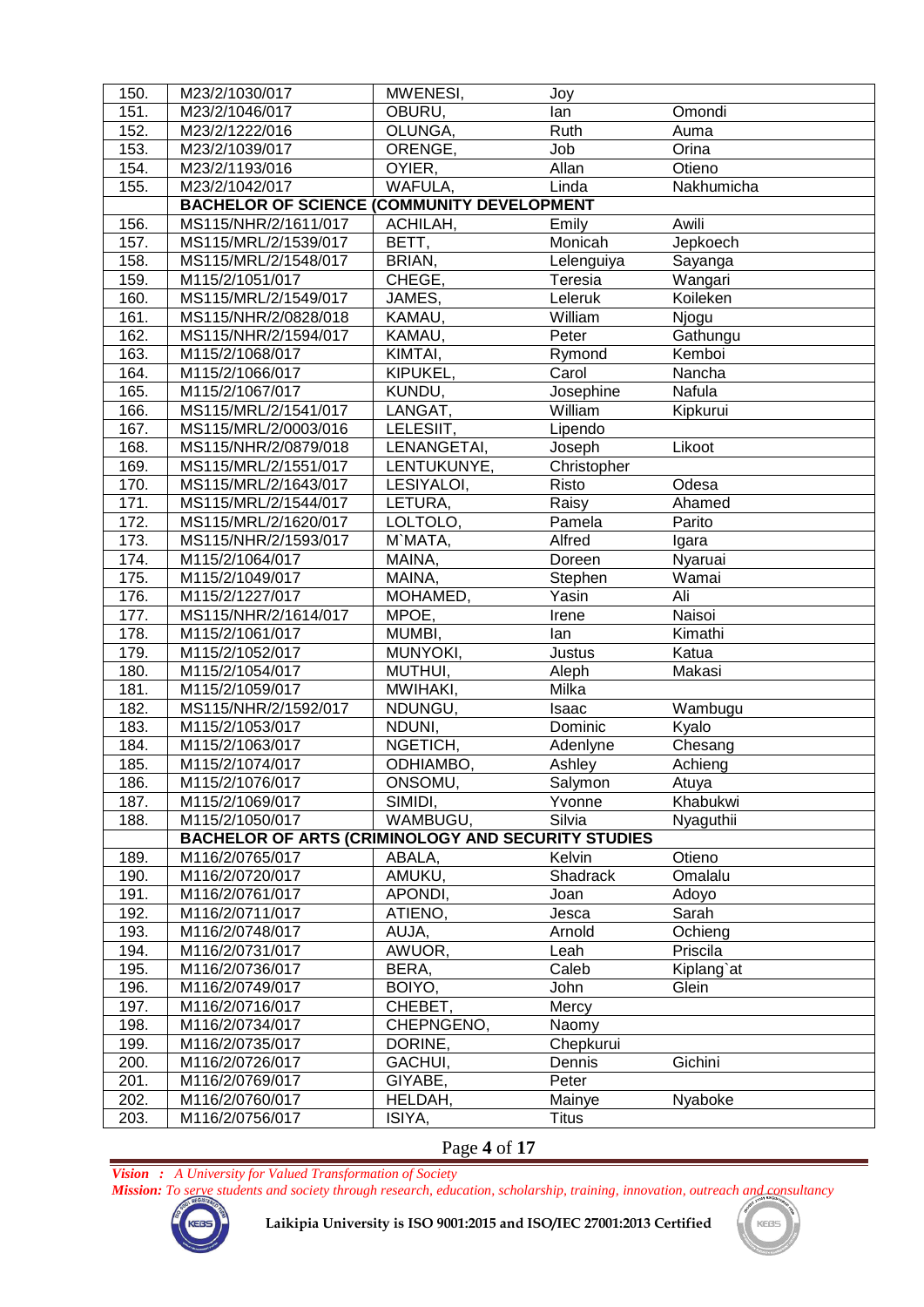| 150. | M23/2/1030/017                                            | MWENESI,    | Joy          |            |
|------|-----------------------------------------------------------|-------------|--------------|------------|
| 151. | M23/2/1046/017                                            | OBURU,      | lan          | Omondi     |
| 152. | M23/2/1222/016                                            | OLUNGA,     | Ruth         | Auma       |
| 153. | M23/2/1039/017                                            | ORENGE,     | Job          | Orina      |
| 154. | M23/2/1193/016                                            | OYIER,      | Allan        | Otieno     |
| 155. | M23/2/1042/017                                            | WAFULA,     | Linda        | Nakhumicha |
|      | <b>BACHELOR OF SCIENCE (COMMUNITY DEVELOPMENT</b>         |             |              |            |
| 156. | MS115/NHR/2/1611/017                                      | ACHILAH,    | Emily        | Awili      |
| 157. | MS115/MRL/2/1539/017                                      | BETT,       | Monicah      | Jepkoech   |
| 158. | MS115/MRL/2/1548/017                                      | BRIAN,      | Lelenguiya   | Sayanga    |
| 159. | M115/2/1051/017                                           | CHEGE,      | Teresia      | Wangari    |
| 160. | MS115/MRL/2/1549/017                                      | JAMES,      | Leleruk      | Koileken   |
| 161. | MS115/NHR/2/0828/018                                      | KAMAU,      | William      | Njogu      |
| 162. | MS115/NHR/2/1594/017                                      | KAMAU,      | Peter        | Gathungu   |
| 163. | M115/2/1068/017                                           | KIMTAI,     | Rymond       | Kemboi     |
| 164. | M115/2/1066/017                                           | KIPUKEL,    | Carol        | Nancha     |
| 165. | M115/2/1067/017                                           | KUNDU,      | Josephine    | Nafula     |
| 166. | MS115/MRL/2/1541/017                                      | LANGAT,     | William      | Kipkurui   |
| 167. | MS115/MRL/2/0003/016                                      | LELESIIT,   | Lipendo      |            |
| 168. | MS115/NHR/2/0879/018                                      | LENANGETAI, | Joseph       | Likoot     |
| 169. | MS115/MRL/2/1551/017                                      | LENTUKUNYE, | Christopher  |            |
| 170. | MS115/MRL/2/1643/017                                      | LESIYALOI,  | Risto        | Odesa      |
| 171. | MS115/MRL/2/1544/017                                      | LETURA,     | Raisy        | Ahamed     |
| 172. | MS115/MRL/2/1620/017                                      | LOLTOLO,    | Pamela       | Parito     |
| 173. | MS115/NHR/2/1593/017                                      | M'MATA,     | Alfred       | Igara      |
| 174. | M115/2/1064/017                                           | MAINA,      | Doreen       | Nyaruai    |
| 175. | M115/2/1049/017                                           | MAINA,      | Stephen      | Wamai      |
| 176. | M115/2/1227/017                                           | MOHAMED,    | Yasin        | Ali        |
| 177. | MS115/NHR/2/1614/017                                      | MPOE,       | Irene        | Naisoi     |
| 178. | M115/2/1061/017                                           | MUMBI,      | lan          | Kimathi    |
| 179. | M115/2/1052/017                                           | MUNYOKI,    | Justus       | Katua      |
| 180. | M115/2/1054/017                                           | MUTHUI,     | Aleph        | Makasi     |
| 181. | M115/2/1059/017                                           | MWIHAKI,    | Milka        |            |
| 182. | MS115/NHR/2/1592/017                                      | NDUNGU,     | Isaac        | Wambugu    |
| 183. | M115/2/1053/017                                           | NDUNI,      | Dominic      | Kyalo      |
| 184. | M115/2/1063/017                                           | NGETICH,    | Adenlyne     | Chesang    |
| 185. | M115/2/1074/017                                           | ODHIAMBO,   | Ashley       | Achieng    |
| 186. | M115/2/1076/017                                           | ONSOMU,     | Salymon      | Atuya      |
| 187. | M115/2/1069/017                                           | SIMIDI,     | Yvonne       | Khabukwi   |
| 188. | M115/2/1050/017                                           | WAMBUGU,    | Silvia       | Nyaguthii  |
|      | <b>BACHELOR OF ARTS (CRIMINOLOGY AND SECURITY STUDIES</b> |             |              |            |
| 189. | M116/2/0765/017                                           | ABALA,      | Kelvin       | Otieno     |
| 190. | M116/2/0720/017                                           | AMUKU,      | Shadrack     | Omalalu    |
| 191. | M116/2/0761/017                                           | APONDI,     | Joan         | Adoyo      |
| 192. | M116/2/0711/017                                           | ATIENO,     | Jesca        | Sarah      |
| 193. | M116/2/0748/017                                           | AUJA,       | Arnold       | Ochieng    |
| 194. | M116/2/0731/017                                           | AWUOR,      | Leah         | Priscila   |
| 195. | M116/2/0736/017                                           | BERA,       | Caleb        | Kiplang'at |
| 196. | M116/2/0749/017                                           | BOIYO,      | John         | Glein      |
| 197. | M116/2/0716/017                                           | CHEBET,     | Mercy        |            |
| 198. | M116/2/0734/017                                           | CHEPNGENO,  | Naomy        |            |
| 199. | M116/2/0735/017                                           | DORINE,     | Chepkurui    |            |
| 200. | M116/2/0726/017                                           | GACHUI,     | Dennis       | Gichini    |
| 201. | M116/2/0769/017                                           | GIYABE,     | Peter        |            |
| 202. | M116/2/0760/017                                           | HELDAH,     | Mainye       | Nyaboke    |
| 203. | M116/2/0756/017                                           | ISIYA,      | <b>Titus</b> |            |
|      |                                                           |             |              |            |

Page **4** of **17**

*Vision : A University for Valued Transformation of Society Mission: To serve students and society through research, education, scholarship, training, innovation, outreach and consultancy*



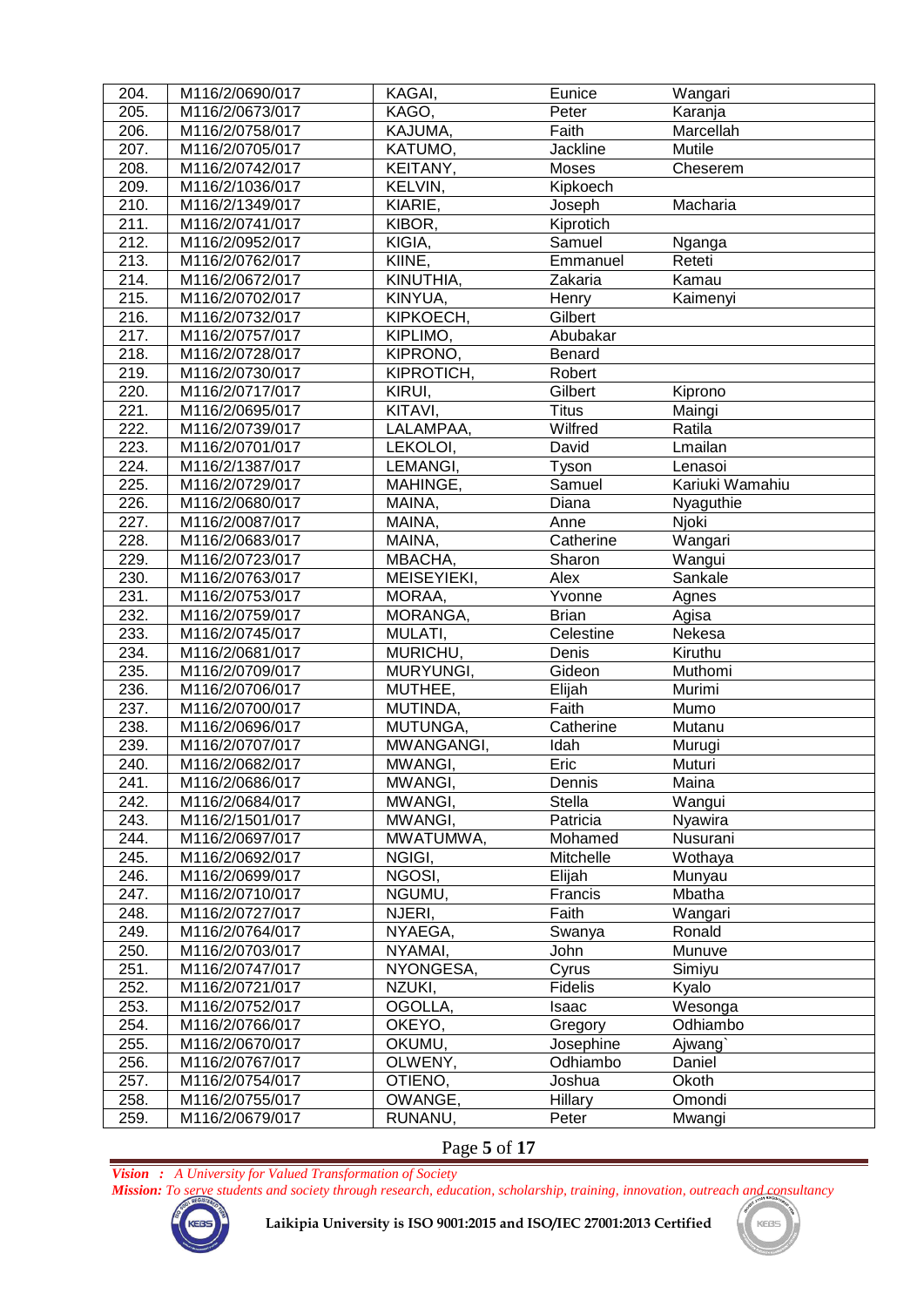| 204. | M116/2/0690/017 | KAGAI,      | Eunice        | Wangari          |
|------|-----------------|-------------|---------------|------------------|
| 205. | M116/2/0673/017 | KAGO,       | Peter         | Karanja          |
| 206. | M116/2/0758/017 | KAJUMA,     | Faith         | Marcellah        |
| 207. | M116/2/0705/017 | KATUMO,     | Jackline      | Mutile           |
| 208. | M116/2/0742/017 | KEITANY,    | Moses         | Cheserem         |
| 209. | M116/2/1036/017 | KELVIN,     | Kipkoech      |                  |
| 210. | M116/2/1349/017 | KIARIE,     | Joseph        | Macharia         |
| 211. | M116/2/0741/017 | KIBOR,      | Kiprotich     |                  |
| 212. | M116/2/0952/017 | KIGIA,      | Samuel        | Nganga           |
| 213. | M116/2/0762/017 | KIINE,      | Emmanuel      | Reteti           |
| 214. | M116/2/0672/017 | KINUTHIA,   | Zakaria       | Kamau            |
| 215. | M116/2/0702/017 | KINYUA,     | Henry         | Kaimenyi         |
| 216. | M116/2/0732/017 | KIPKOECH,   | Gilbert       |                  |
| 217. | M116/2/0757/017 | KIPLIMO,    | Abubakar      |                  |
| 218. | M116/2/0728/017 | KIPRONO,    | Benard        |                  |
| 219. | M116/2/0730/017 | KIPROTICH,  | Robert        |                  |
| 220. | M116/2/0717/017 | KIRUI,      | Gilbert       | Kiprono          |
| 221. | M116/2/0695/017 | KITAVI,     | <b>Titus</b>  |                  |
| 222. |                 | LALAMPAA,   | Wilfred       | Maingi<br>Ratila |
| 223. | M116/2/0739/017 | LEKOLOI,    | David         | Lmailan          |
|      | M116/2/0701/017 |             |               |                  |
| 224. | M116/2/1387/017 | LEMANGI,    | <b>Tyson</b>  | Lenasoi          |
| 225. | M116/2/0729/017 | MAHINGE,    | Samuel        | Kariuki Wamahiu  |
| 226. | M116/2/0680/017 | MAINA,      | Diana         | Nyaguthie        |
| 227. | M116/2/0087/017 | MAINA,      | Anne          | Njoki            |
| 228. | M116/2/0683/017 | MAINA,      | Catherine     | Wangari          |
| 229. | M116/2/0723/017 | MBACHA,     | Sharon        | Wangui           |
| 230. | M116/2/0763/017 | MEISEYIEKI, | Alex          | Sankale          |
| 231. | M116/2/0753/017 | MORAA,      | Yvonne        | Agnes            |
| 232. | M116/2/0759/017 | MORANGA,    | <b>Brian</b>  | Agisa            |
| 233. | M116/2/0745/017 | MULATI,     | Celestine     | Nekesa           |
| 234. | M116/2/0681/017 | MURICHU,    | Denis         | Kiruthu          |
| 235. | M116/2/0709/017 | MURYUNGI,   | Gideon        | Muthomi          |
| 236. | M116/2/0706/017 | MUTHEE,     | Elijah        | Murimi           |
| 237. | M116/2/0700/017 | MUTINDA,    | Faith         | Mumo             |
| 238. | M116/2/0696/017 | MUTUNGA,    | Catherine     | Mutanu           |
| 239. | M116/2/0707/017 | MWANGANGI,  | Idah          | Murugi           |
| 240. | M116/2/0682/017 | MWANGI,     | Eric          | Muturi           |
| 241. | M116/2/0686/017 | MWANGI,     | Dennis        | Maina            |
| 242. | M116/2/0684/017 | MWANGI,     | <b>Stella</b> | Wangui           |
| 243. | M116/2/1501/017 | MWANGI,     | Patricia      | Nyawira          |
| 244. | M116/2/0697/017 | MWATUMWA,   | Mohamed       | Nusurani         |
| 245. | M116/2/0692/017 | NGIGI,      | Mitchelle     | Wothaya          |
| 246. | M116/2/0699/017 | NGOSI,      | Elijah        | Munyau           |
| 247. | M116/2/0710/017 | NGUMU,      | Francis       | Mbatha           |
| 248. | M116/2/0727/017 | NJERI,      | Faith         | Wangari          |
| 249. | M116/2/0764/017 | NYAEGA,     | Swanya        | Ronald           |
| 250. | M116/2/0703/017 | NYAMAI,     | John          | Munuve           |
| 251. | M116/2/0747/017 | NYONGESA,   | Cyrus         | Simiyu           |
| 252. | M116/2/0721/017 | NZUKI,      | Fidelis       | Kyalo            |
| 253. | M116/2/0752/017 | OGOLLA,     | Isaac         | Wesonga          |
| 254. | M116/2/0766/017 | OKEYO,      | Gregory       | Odhiambo         |
| 255. | M116/2/0670/017 | OKUMU,      | Josephine     | Ajwang`          |
| 256. | M116/2/0767/017 | OLWENY,     | Odhiambo      | Daniel           |
| 257. | M116/2/0754/017 | OTIENO,     | Joshua        | Okoth            |
| 258. | M116/2/0755/017 | OWANGE,     | Hillary       | Omondi           |
| 259. | M116/2/0679/017 | RUNANU,     | Peter         | Mwangi           |

### Page **5** of **17**

*Vision : A University for Valued Transformation of Society Mission: To serve students and society through research, education, scholarship, training, innovation, outreach and consultancy*



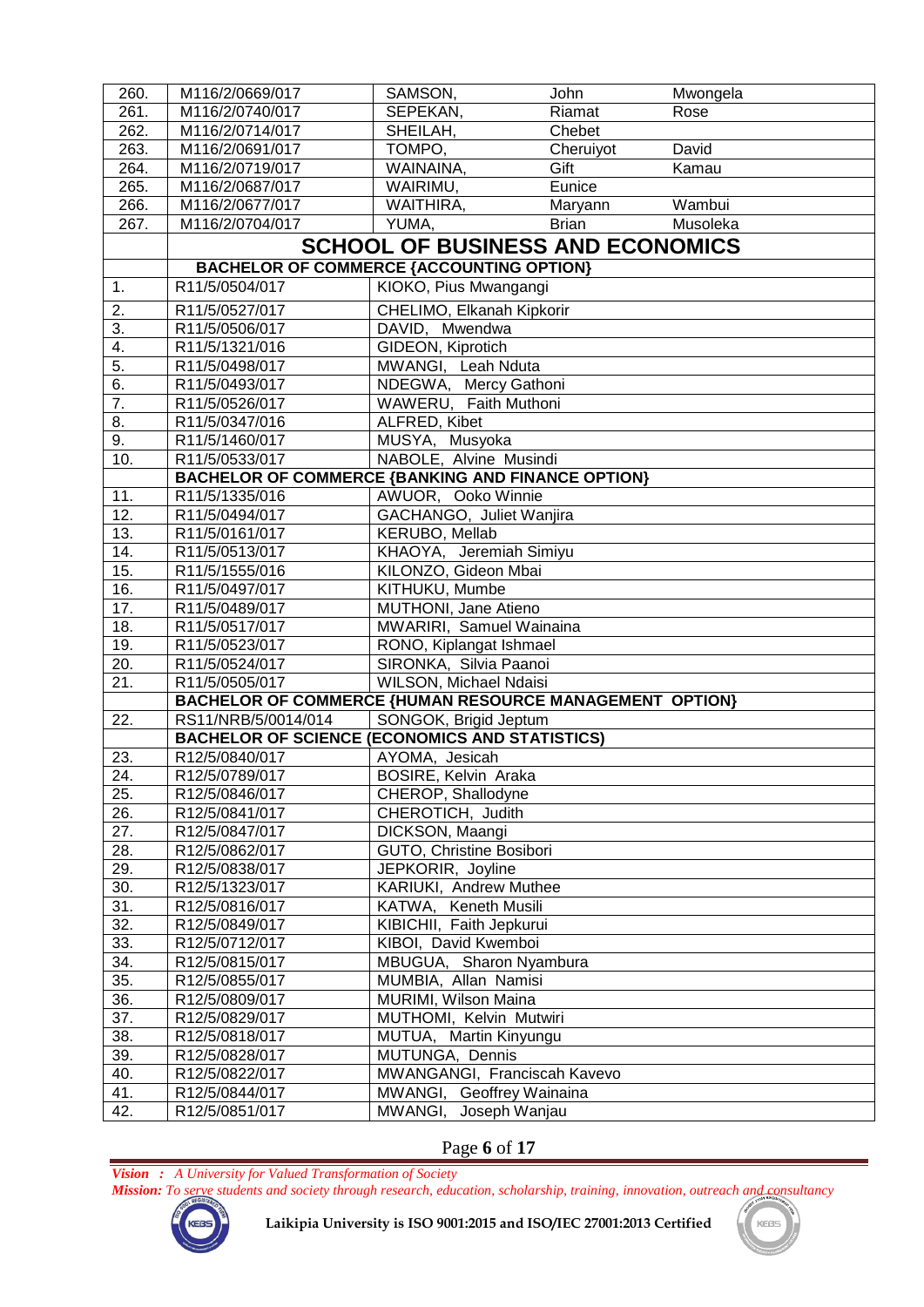| 260.             | M116/2/0669/017                                                                  | SAMSON,                                          | John         | Mwongela |
|------------------|----------------------------------------------------------------------------------|--------------------------------------------------|--------------|----------|
| 261.             | M116/2/0740/017                                                                  | SEPEKAN,                                         | Riamat       | Rose     |
| 262.             | M116/2/0714/017                                                                  | SHEILAH,                                         | Chebet       |          |
| 263.             | M116/2/0691/017                                                                  | TOMPO,                                           | Cheruiyot    | David    |
| 264.             | M116/2/0719/017                                                                  | WAINAINA,                                        | Gift         | Kamau    |
| 265.             | M116/2/0687/017                                                                  | WAIRIMU,                                         | Eunice       |          |
| 266.             | M116/2/0677/017                                                                  | WAITHIRA,                                        | Maryann      | Wambui   |
| 267.             | M116/2/0704/017                                                                  | YUMA,                                            | <b>Brian</b> | Musoleka |
|                  |                                                                                  | <b>SCHOOL OF BUSINESS AND ECONOMICS</b>          |              |          |
|                  | <b>BACHELOR OF COMMERCE {ACCOUNTING OPTION}</b>                                  |                                                  |              |          |
| 1.               | R11/5/0504/017                                                                   | KIOKO, Pius Mwangangi                            |              |          |
| 2.               | R11/5/0527/017                                                                   | CHELIMO, Elkanah Kipkorir                        |              |          |
| $\overline{3}$ . | R11/5/0506/017                                                                   | DAVID, Mwendwa                                   |              |          |
| 4.               | R11/5/1321/016                                                                   | GIDEON, Kiprotich                                |              |          |
| 5.               | R11/5/0498/017                                                                   | MWANGI, Leah Nduta                               |              |          |
| 6.               | R11/5/0493/017                                                                   | NDEGWA, Mercy Gathoni                            |              |          |
| 7.               | R11/5/0526/017                                                                   | WAWERU, Faith Muthoni                            |              |          |
| 8.               | R11/5/0347/016                                                                   | ALFRED, Kibet                                    |              |          |
| 9.               | R11/5/1460/017                                                                   | MUSYA, Musyoka                                   |              |          |
| 10.              | R11/5/0533/017                                                                   | NABOLE, Alvine Musindi                           |              |          |
|                  | <b>BACHELOR OF COMMERCE {BANKING AND FINANCE OPTION}</b>                         |                                                  |              |          |
| 11.              | R11/5/1335/016                                                                   | AWUOR, Ooko Winnie                               |              |          |
| 12.              | R11/5/0494/017                                                                   | GACHANGO, Juliet Wanjira                         |              |          |
| 13.              | R11/5/0161/017                                                                   | <b>KERUBO, Mellab</b>                            |              |          |
| 14.              | R11/5/0513/017                                                                   | KHAOYA, Jeremiah Simiyu                          |              |          |
| 15.              | R11/5/1555/016                                                                   | KILONZO, Gideon Mbai                             |              |          |
| 16.              | R11/5/0497/017                                                                   | KITHUKU, Mumbe                                   |              |          |
| 17.              | R11/5/0489/017                                                                   | MUTHONI, Jane Atieno                             |              |          |
| 18.              | R11/5/0517/017                                                                   | MWARIRI, Samuel Wainaina                         |              |          |
| 19.              | R11/5/0523/017                                                                   | RONO, Kiplangat Ishmael                          |              |          |
| 20.              | R11/5/0524/017                                                                   | SIRONKA, Silvia Paanoi<br>WILSON, Michael Ndaisi |              |          |
| 21.              | R11/5/0505/017<br><b>BACHELOR OF COMMERCE {HUMAN RESOURCE MANAGEMENT OPTION}</b> |                                                  |              |          |
| 22.              | RS11/NRB/5/0014/014                                                              | SONGOK, Brigid Jeptum                            |              |          |
|                  | <b>BACHELOR OF SCIENCE (ECONOMICS AND STATISTICS)</b>                            |                                                  |              |          |
| 23.              | R12/5/0840/017                                                                   | AYOMA, Jesicah                                   |              |          |
| 24.              | R12/5/0789/017                                                                   | BOSIRE, Kelvin Araka                             |              |          |
| 25.              | R12/5/0846/017                                                                   | CHEROP, Shallodyne                               |              |          |
| 26.              | R12/5/0841/017                                                                   | CHEROTICH, Judith                                |              |          |
| 27.              | R12/5/0847/017                                                                   | DICKSON, Maangi                                  |              |          |
| 28.              | R12/5/0862/017                                                                   | GUTO, Christine Bosibori                         |              |          |
| 29.              | R12/5/0838/017                                                                   | JEPKORIR, Joyline                                |              |          |
| 30.              | R12/5/1323/017                                                                   | KARIUKI, Andrew Muthee                           |              |          |
| 31.              | R12/5/0816/017                                                                   | KATWA, Keneth Musili                             |              |          |
| 32.              | R12/5/0849/017                                                                   | KIBICHII, Faith Jepkurui                         |              |          |
| 33.              | R12/5/0712/017                                                                   | KIBOI, David Kwemboi                             |              |          |
| 34.              | R12/5/0815/017                                                                   | MBUGUA, Sharon Nyambura                          |              |          |
| 35.              | R12/5/0855/017                                                                   | MUMBIA, Allan Namisi                             |              |          |
| 36.              | R12/5/0809/017                                                                   | MURIMI, Wilson Maina                             |              |          |
| 37.              | R12/5/0829/017                                                                   | MUTHOMI, Kelvin Mutwiri                          |              |          |
| 38.              | R12/5/0818/017                                                                   | MUTUA, Martin Kinyungu                           |              |          |
| 39.              | R12/5/0828/017                                                                   | MUTUNGA, Dennis                                  |              |          |
| 40.              | R12/5/0822/017                                                                   | MWANGANGI, Franciscah Kavevo                     |              |          |
| 41.              | R12/5/0844/017                                                                   | MWANGI, Geoffrey Wainaina                        |              |          |
| 42.              | R12/5/0851/017                                                                   | Joseph Wanjau<br>MWANGI,                         |              |          |

# Page **6** of **17**

*Vision : A University for Valued Transformation of Society*

*Mission: To serve students and society through research, education, scholarship, training, innovation, outreach and consultancy*



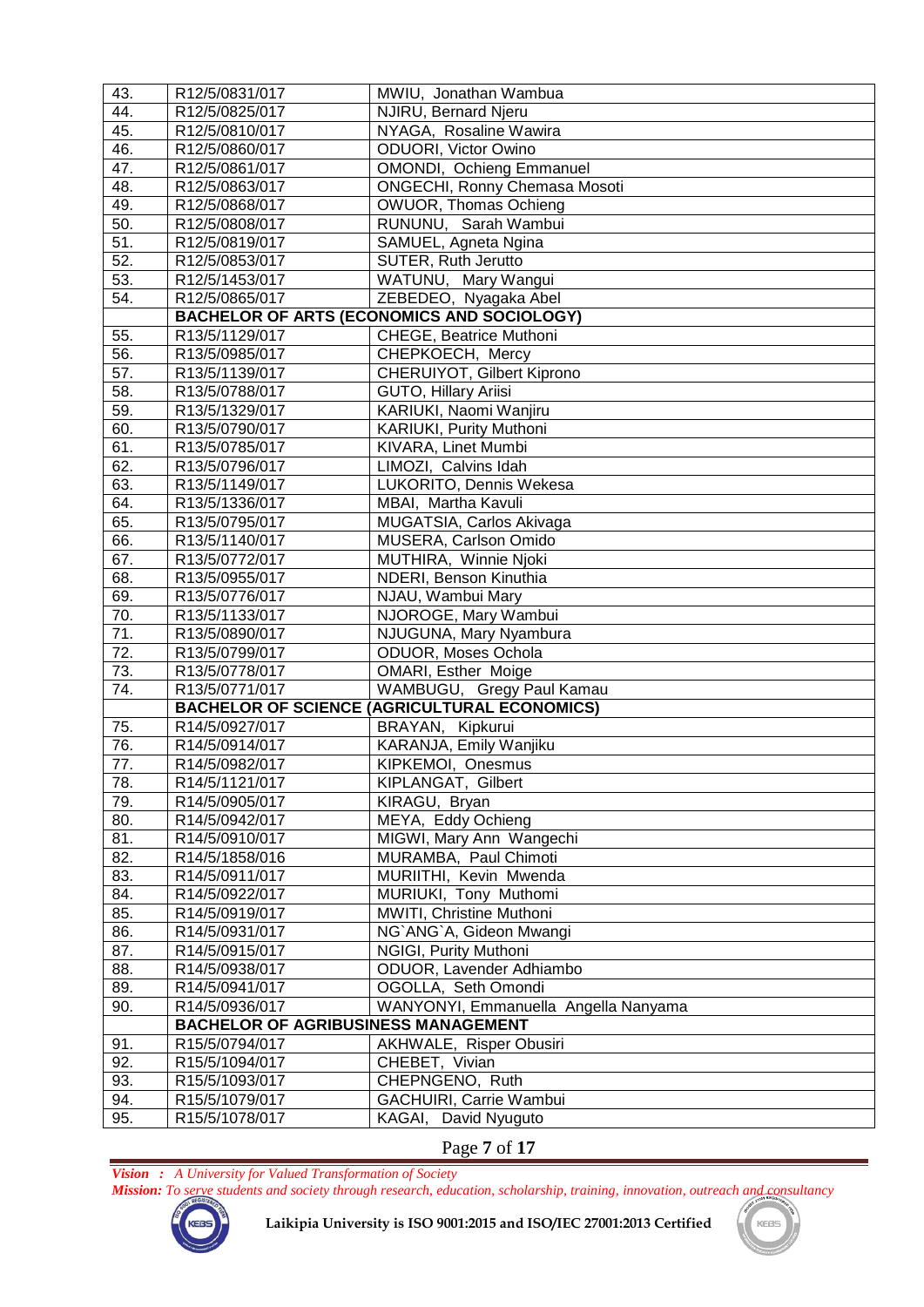| 43.               | R12/5/0831/017                             | MWIU, Jonathan Wambua                               |
|-------------------|--------------------------------------------|-----------------------------------------------------|
| 44.               | R12/5/0825/017                             | NJIRU, Bernard Njeru                                |
| 45.               | R12/5/0810/017                             | NYAGA, Rosaline Wawira                              |
| 46.               | R12/5/0860/017                             | <b>ODUORI, Victor Owino</b>                         |
| 47.               | R12/5/0861/017                             | OMONDI, Ochieng Emmanuel                            |
| 48.               | R12/5/0863/017                             | <b>ONGECHI, Ronny Chemasa Mosoti</b>                |
| 49.               | R12/5/0868/017                             | OWUOR, Thomas Ochieng                               |
| 50.               | R12/5/0808/017                             | RUNUNU, Sarah Wambui                                |
| 51.               | R12/5/0819/017                             | SAMUEL, Agneta Ngina                                |
| 52.               | R12/5/0853/017                             | SUTER, Ruth Jerutto                                 |
| 53.               | R12/5/1453/017                             | WATUNU, Mary Wangui                                 |
| 54.               | R12/5/0865/017                             | ZEBEDEO, Nyagaka Abel                               |
|                   |                                            | <b>BACHELOR OF ARTS (ECONOMICS AND SOCIOLOGY)</b>   |
| 55.               | R13/5/1129/017                             | CHEGE, Beatrice Muthoni                             |
| 56.               | R13/5/0985/017                             | CHEPKOECH, Mercy                                    |
| 57.               | R13/5/1139/017                             | CHERUIYOT, Gilbert Kiprono                          |
| 58.               | R13/5/0788/017                             | GUTO, Hillary Ariisi                                |
| 59.               | R13/5/1329/017                             | KARIUKI, Naomi Wanjiru                              |
| 60.               | R13/5/0790/017                             | KARIUKI, Purity Muthoni                             |
| 61.               | R13/5/0785/017                             | KIVARA, Linet Mumbi                                 |
| 62.               | R13/5/0796/017                             | LIMOZI, Calvins Idah                                |
| 63.               | R13/5/1149/017                             | LUKORITO, Dennis Wekesa                             |
| 64.               | R13/5/1336/017                             | MBAI, Martha Kavuli                                 |
| 65.               | R13/5/0795/017                             | MUGATSIA, Carlos Akivaga                            |
| 66.               | R13/5/1140/017                             | MUSERA, Carlson Omido                               |
| 67.               | R13/5/0772/017                             | MUTHIRA, Winnie Njoki                               |
| 68.               | R13/5/0955/017                             | NDERI, Benson Kinuthia                              |
| 69.               | R13/5/0776/017                             | NJAU, Wambui Mary                                   |
| 70.               | R13/5/1133/017                             | NJOROGE, Mary Wambui                                |
| $\overline{71}$ . | R13/5/0890/017                             | NJUGUNA, Mary Nyambura                              |
| $\overline{72}$ . | R13/5/0799/017                             | ODUOR, Moses Ochola                                 |
| 73.               | R13/5/0778/017                             | <b>OMARI, Esther Moige</b>                          |
| 74.               | R13/5/0771/017                             | WAMBUGU, Gregy Paul Kamau                           |
|                   |                                            | <b>BACHELOR OF SCIENCE (AGRICULTURAL ECONOMICS)</b> |
| 75.               | R14/5/0927/017                             | BRAYAN, Kipkurui                                    |
| 76.               | R14/5/0914/017                             | KARANJA, Emily Wanjiku                              |
| 77.               | R14/5/0982/017                             | KIPKEMOI, Onesmus                                   |
| 78.               | R14/5/1121/017                             | KIPLANGAT, Gilbert                                  |
| 79.               | R14/5/0905/017                             | KIRAGU, Bryan                                       |
| 80.               | R14/5/0942/017                             | MEYA, Eddy Ochieng                                  |
| 81.               | R14/5/0910/017                             | MIGWI, Mary Ann Wangechi                            |
| 82.               | R14/5/1858/016                             | MURAMBA, Paul Chimoti                               |
| 83.               | R14/5/0911/017                             | MURIITHI, Kevin Mwenda                              |
| 84.               | R14/5/0922/017                             | MURIUKI, Tony Muthomi                               |
| 85.               | R14/5/0919/017                             | MWITI, Christine Muthoni                            |
| 86.               | R14/5/0931/017                             | NG`ANG`A, Gideon Mwangi                             |
| 87.               | R14/5/0915/017                             | NGIGI, Purity Muthoni                               |
| 88.               | R14/5/0938/017                             | ODUOR, Lavender Adhiambo                            |
| 89.               | R14/5/0941/017                             | OGOLLA, Seth Omondi                                 |
| 90.               | R14/5/0936/017                             | WANYONYI, Emmanuella Angella Nanyama                |
|                   | <b>BACHELOR OF AGRIBUSINESS MANAGEMENT</b> |                                                     |
| 91.               | R15/5/0794/017                             | AKHWALE, Risper Obusiri                             |
| 92.               | R15/5/1094/017                             | CHEBET, Vivian                                      |
| 93.               | R15/5/1093/017                             | CHEPNGENO, Ruth                                     |
| 94.               |                                            |                                                     |
| 95.               | R15/5/1079/017                             | GACHUIRI, Carrie Wambui<br>David Nyuguto            |

Page **7** of **17**

*Vision : A University for Valued Transformation of Society Mission: To serve students and society through research, education, scholarship, training, innovation, outreach and consultancy*



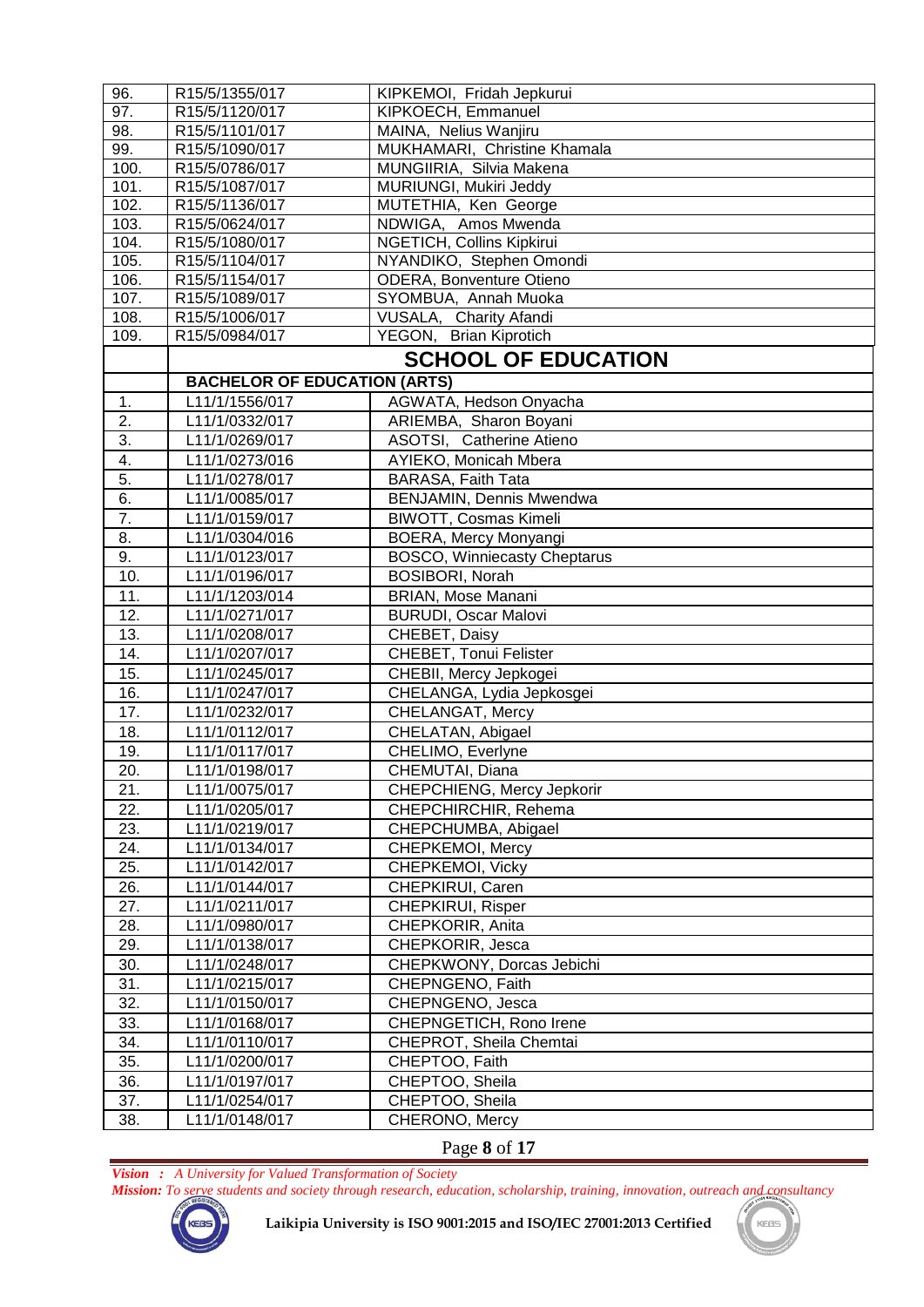| 96.              | R15/5/1355/017                      | KIPKEMOI, Fridah Jepkurui           |
|------------------|-------------------------------------|-------------------------------------|
| 97.              | R15/5/1120/017                      | KIPKOECH, Emmanuel                  |
| 98.              | R15/5/1101/017                      | MAINA, Nelius Wanjiru               |
| 99.              | R15/5/1090/017                      | MUKHAMARI, Christine Khamala        |
| 100.             | R15/5/0786/017                      | MUNGIIRIA, Silvia Makena            |
| 101.             | R15/5/1087/017                      | MURIUNGI, Mukiri Jeddy              |
| 102.             | R15/5/1136/017                      | MUTETHIA, Ken George                |
| 103.             | R15/5/0624/017                      | NDWIGA, Amos Mwenda                 |
| 104.             | R15/5/1080/017                      | NGETICH, Collins Kipkirui           |
| 105.             | R15/5/1104/017                      | NYANDIKO, Stephen Omondi            |
| 106.             | R15/5/1154/017                      | ODERA, Bonventure Otieno            |
| 107.             | R15/5/1089/017                      | SYOMBUA, Annah Muoka                |
| 108.             | R15/5/1006/017                      | VUSALA, Charity Afandi              |
| 109.             | R15/5/0984/017                      | YEGON, Brian Kiprotich              |
|                  |                                     | <b>SCHOOL OF EDUCATION</b>          |
|                  | <b>BACHELOR OF EDUCATION (ARTS)</b> |                                     |
| 1.               | L11/1/1556/017                      | AGWATA, Hedson Onyacha              |
| 2.               | L11/1/0332/017                      | ARIEMBA, Sharon Boyani              |
| $\overline{3}$ . | L11/1/0269/017                      | ASOTSI, Catherine Atieno            |
| 4.               | L11/1/0273/016                      | AYIEKO, Monicah Mbera               |
| $\overline{5}$ . | L11/1/0278/017                      | BARASA, Faith Tata                  |
| 6.               | L11/1/0085/017                      | <b>BENJAMIN, Dennis Mwendwa</b>     |
| $\overline{7}$ . | L11/1/0159/017                      | <b>BIWOTT, Cosmas Kimeli</b>        |
| 8.               | L11/1/0304/016                      | <b>BOERA, Mercy Monyangi</b>        |
| 9.               | L11/1/0123/017                      | <b>BOSCO, Winniecasty Cheptarus</b> |
| 10.              | L11/1/0196/017                      | BOSIBORI, Norah                     |
| 11.              | L11/1/1203/014                      | <b>BRIAN, Mose Manani</b>           |
| 12.              | L11/1/0271/017                      | <b>BURUDI, Oscar Malovi</b>         |
| 13.              | L11/1/0208/017                      | CHEBET, Daisy                       |
| 14.              | L11/1/0207/017                      | CHEBET, Tonui Felister              |
| 15.              | L11/1/0245/017                      | CHEBII, Mercy Jepkogei              |
| 16.              | L11/1/0247/017                      | CHELANGA, Lydia Jepkosgei           |
| 17.              | L11/1/0232/017                      | CHELANGAT, Mercy                    |
| 18.              | L11/1/0112/017                      | CHELATAN, Abigael                   |
| 19.              | L11/1/0117/017                      | CHELIMO, Everlyne                   |
| 20.              | L11/1/0198/017                      | CHEMUTAI, Diana                     |
| 21.              | L11/1/0075/017                      | CHEPCHIENG, Mercy Jepkorir          |
| 22.              | L11/1/0205/017                      | CHEPCHIRCHIR, Rehema                |
| 23.              | L11/1/0219/017                      | CHEPCHUMBA, Abigael                 |
| 24.              | L11/1/0134/017                      | <b>CHEPKEMOI, Mercy</b>             |
| 25.              | L11/1/0142/017                      | CHEPKEMOI, Vicky                    |
| 26.              | L11/1/0144/017                      | CHEPKIRUI, Caren                    |
| 27.              | L11/1/0211/017                      | <b>CHEPKIRUI, Risper</b>            |
| 28.              | L11/1/0980/017                      | CHEPKORIR, Anita                    |
| 29.              | L11/1/0138/017                      | CHEPKORIR, Jesca                    |
| 30.              | L11/1/0248/017                      | CHEPKWONY, Dorcas Jebichi           |
| 31.              | L11/1/0215/017                      | CHEPNGENO, Faith                    |
| 32.              | L11/1/0150/017                      | CHEPNGENO, Jesca                    |
| 33.              | L11/1/0168/017                      | CHEPNGETICH, Rono Irene             |
| 34.              | L11/1/0110/017                      | CHEPROT, Sheila Chemtai             |
| 35.              | L11/1/0200/017                      | CHEPTOO, Faith                      |
| 36.              | L11/1/0197/017                      | CHEPTOO, Sheila                     |
| 37.              | L11/1/0254/017                      | CHEPTOO, Sheila                     |
| 38.              | L11/1/0148/017                      | CHERONO, Mercy                      |
|                  |                                     |                                     |

Page **8** of **17**

*Vision : A University for Valued Transformation of Society*

*Mission: To serve students and society through research, education, scholarship, training, innovation, outreach and consultancy*



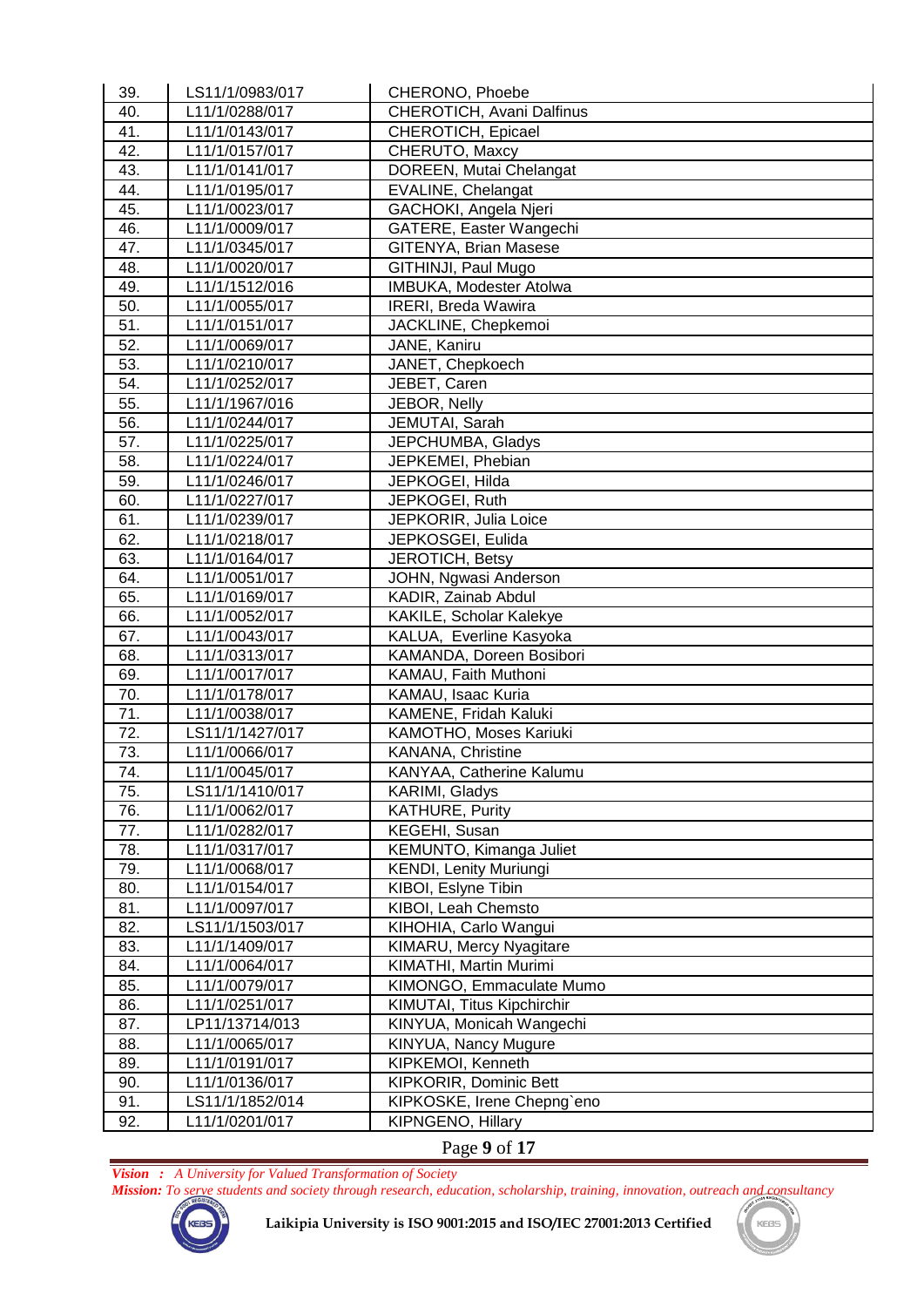| 39.                      | LS11/1/0983/017                  | CHERONO, Phoebe                         |
|--------------------------|----------------------------------|-----------------------------------------|
| 40.                      | L11/1/0288/017                   | CHEROTICH, Avani Dalfinus               |
| 41.                      | L11/1/0143/017                   | CHEROTICH, Epicael                      |
| 42.                      | L11/1/0157/017                   | CHERUTO, Maxcy                          |
| 43.                      | L11/1/0141/017                   | DOREEN, Mutai Chelangat                 |
| 44.                      | L11/1/0195/017                   | EVALINE, Chelangat                      |
| 45.                      | L11/1/0023/017                   | GACHOKI, Angela Njeri                   |
| 46.                      | L11/1/0009/017                   | GATERE, Easter Wangechi                 |
| 47.                      | L11/1/0345/017                   | GITENYA, Brian Masese                   |
| 48.                      | L11/1/0020/017                   | GITHINJI, Paul Mugo                     |
| 49.                      | L11/1/1512/016                   | IMBUKA, Modester Atolwa                 |
| 50.                      | L11/1/0055/017                   | IRERI, Breda Wawira                     |
| 51.                      | L11/1/0151/017                   | JACKLINE, Chepkemoi                     |
| 52.                      | L11/1/0069/017                   | JANE, Kaniru                            |
| 53.                      | L11/1/0210/017                   | JANET, Chepkoech                        |
| 54.                      | L11/1/0252/017                   | JEBET, Caren                            |
| 55.                      | L11/1/1967/016                   | JEBOR, Nelly                            |
| 56.                      | L11/1/0244/017                   | JEMUTAI, Sarah                          |
| $\overline{57}$ .        | L11/1/0225/017                   | JEPCHUMBA, Gladys                       |
| 58.                      | L11/1/0224/017                   | JEPKEMEI, Phebian                       |
| 59.                      | L11/1/0246/017                   | JEPKOGEI, Hilda                         |
| 60.                      | L11/1/0227/017                   | JEPKOGEI, Ruth                          |
| 61.                      | L11/1/0239/017                   | JEPKORIR, Julia Loice                   |
| 62.                      | L11/1/0218/017                   | JEPKOSGEI, Eulida                       |
| 63.                      | L11/1/0164/017                   | JEROTICH, Betsy                         |
| 64.                      | L11/1/0051/017                   | JOHN, Ngwasi Anderson                   |
| 65.                      | L11/1/0169/017                   | KADIR, Zainab Abdul                     |
| 66.                      | L11/1/0052/017                   | KAKILE, Scholar Kalekye                 |
| 67.                      | L11/1/0043/017                   | KALUA, Everline Kasyoka                 |
| 68.                      | L11/1/0313/017                   | KAMANDA, Doreen Bosibori                |
| 69.                      | L11/1/0017/017                   | KAMAU, Faith Muthoni                    |
| 70.                      | L11/1/0178/017                   | KAMAU, Isaac Kuria                      |
| 71.                      | L11/1/0038/017                   | KAMENE, Fridah Kaluki                   |
| $\overline{72}$ .<br>73. | LS11/1/1427/017                  | KAMOTHO, Moses Kariuki                  |
|                          | L11/1/0066/017                   | KANANA, Christine                       |
| 74.                      | L11/1/0045/017                   | KANYAA, Catherine Kalumu                |
| 75.                      | LS11/1/1410/017                  | KARIMI, Gladys                          |
| 76.<br>77.               | L11/1/0062/017<br>L11/1/0282/017 | <b>KATHURE, Purity</b><br>KEGEHI, Susan |
| 78.                      | L11/1/0317/017                   | KEMUNTO, Kimanga Juliet                 |
| 79.                      | L11/1/0068/017                   | KENDI, Lenity Muriungi                  |
| 80.                      | L11/1/0154/017                   | KIBOI, Eslyne Tibin                     |
| 81.                      | L11/1/0097/017                   | KIBOI, Leah Chemsto                     |
| 82.                      | LS11/1/1503/017                  | KIHOHIA, Carlo Wangui                   |
| 83.                      | L11/1/1409/017                   | KIMARU, Mercy Nyagitare                 |
| 84.                      | L11/1/0064/017                   | KIMATHI, Martin Murimi                  |
| 85.                      | L11/1/0079/017                   | KIMONGO, Emmaculate Mumo                |
| 86.                      | L11/1/0251/017                   | KIMUTAI, Titus Kipchirchir              |
| 87.                      | LP11/13714/013                   | KINYUA, Monicah Wangechi                |
| 88.                      | L11/1/0065/017                   | KINYUA, Nancy Mugure                    |
| 89.                      | L11/1/0191/017                   | KIPKEMOI, Kenneth                       |
| 90.                      | L11/1/0136/017                   | KIPKORIR, Dominic Bett                  |
| 91.                      | LS11/1/1852/014                  | KIPKOSKE, Irene Chepng'eno              |
| 92.                      | L11/1/0201/017                   | KIPNGENO, Hillary                       |
|                          |                                  |                                         |

#### Page **9** of **17**

*Vision : A University for Valued Transformation of Society*

*Mission: To serve students and society through research, education, scholarship, training, innovation, outreach and consultancy*



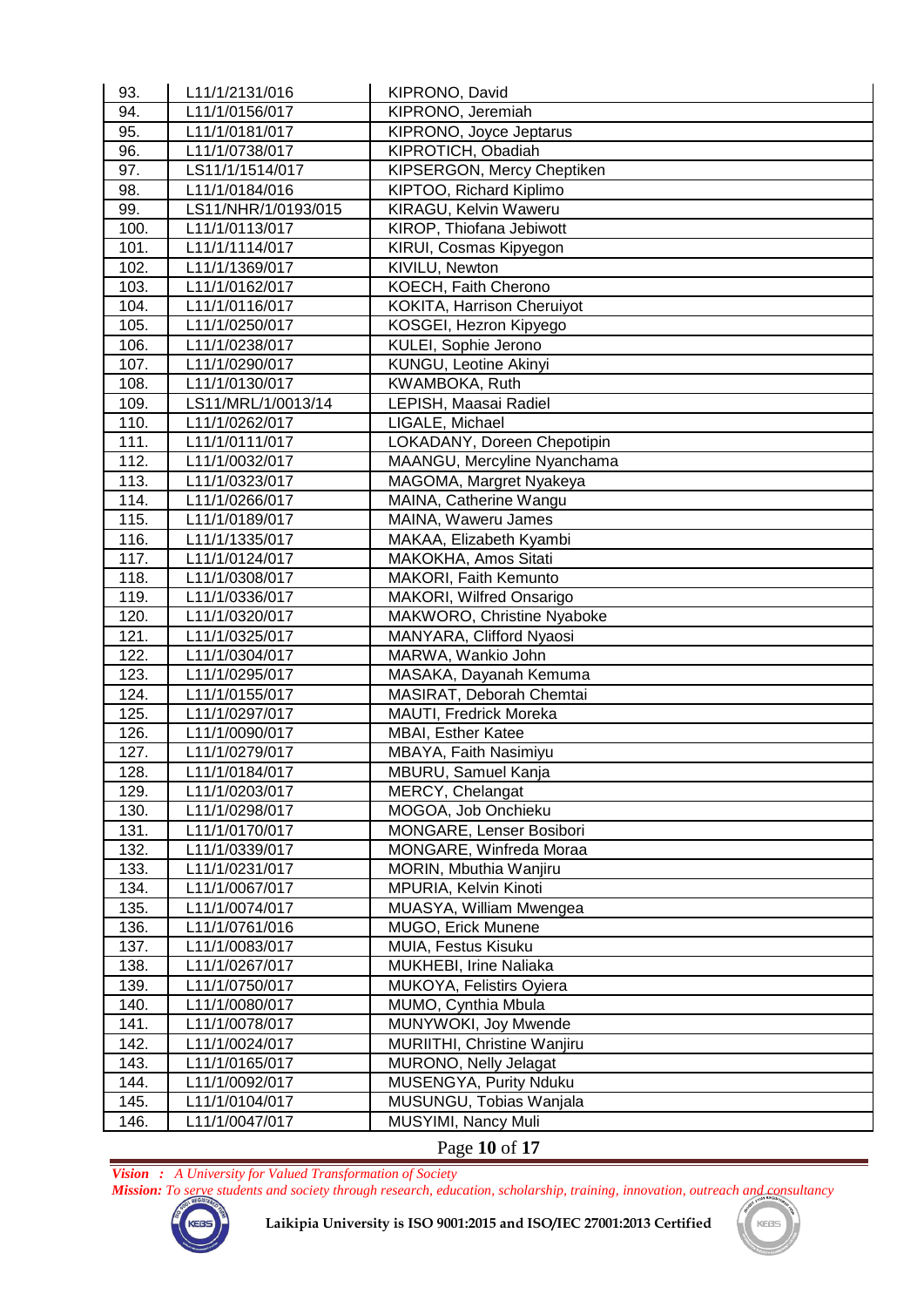| 93.  | L11/1/2131/016      | KIPRONO, David              |
|------|---------------------|-----------------------------|
| 94.  | L11/1/0156/017      | KIPRONO, Jeremiah           |
| 95.  | L11/1/0181/017      | KIPRONO, Joyce Jeptarus     |
| 96.  | L11/1/0738/017      | KIPROTICH, Obadiah          |
| 97.  | LS11/1/1514/017     | KIPSERGON, Mercy Cheptiken  |
| 98.  | L11/1/0184/016      | KIPTOO, Richard Kiplimo     |
| 99.  | LS11/NHR/1/0193/015 | KIRAGU, Kelvin Waweru       |
| 100. | L11/1/0113/017      | KIROP, Thiofana Jebiwott    |
| 101. | L11/1/1114/017      | KIRUI, Cosmas Kipyegon      |
| 102. | L11/1/1369/017      | KIVILU, Newton              |
| 103. | L11/1/0162/017      | KOECH, Faith Cherono        |
| 104. | L11/1/0116/017      | KOKITA, Harrison Cheruiyot  |
| 105. | L11/1/0250/017      | KOSGEI, Hezron Kipyego      |
| 106. | L11/1/0238/017      | KULEI, Sophie Jerono        |
| 107. | L11/1/0290/017      | KUNGU, Leotine Akinyi       |
| 108. | L11/1/0130/017      | KWAMBOKA, Ruth              |
| 109. | LS11/MRL/1/0013/14  | LEPISH, Maasai Radiel       |
| 110. | L11/1/0262/017      | LIGALE, Michael             |
| 111. | L11/1/0111/017      | LOKADANY, Doreen Chepotipin |
| 112. | L11/1/0032/017      | MAANGU, Mercyline Nyanchama |
| 113. | L11/1/0323/017      | MAGOMA, Margret Nyakeya     |
| 114. | L11/1/0266/017      | MAINA, Catherine Wangu      |
| 115. | L11/1/0189/017      | MAINA, Waweru James         |
| 116. | L11/1/1335/017      | MAKAA, Elizabeth Kyambi     |
| 117. | L11/1/0124/017      | MAKOKHA, Amos Sitati        |
| 118. | L11/1/0308/017      | MAKORI, Faith Kemunto       |
| 119. | L11/1/0336/017      | MAKORI, Wilfred Onsarigo    |
| 120. | L11/1/0320/017      | MAKWORO, Christine Nyaboke  |
| 121. | L11/1/0325/017      | MANYARA, Clifford Nyaosi    |
| 122. | L11/1/0304/017      | MARWA, Wankio John          |
| 123. | L11/1/0295/017      | MASAKA, Dayanah Kemuma      |
| 124. | L11/1/0155/017      | MASIRAT, Deborah Chemtai    |
| 125. | L11/1/0297/017      | MAUTI, Fredrick Moreka      |
| 126. | L11/1/0090/017      | MBAI, Esther Katee          |
| 127. | L11/1/0279/017      | MBAYA, Faith Nasimiyu       |
| 128. | L11/1/0184/017      | MBURU, Samuel Kanja         |
| 129. | L11/1/0203/017      | MERCY, Chelangat            |
| 130. | L11/1/0298/017      | MOGOA, Job Onchieku         |
| 131. | L11/1/0170/017      | MONGARE, Lenser Bosibori    |
| 132. | L11/1/0339/017      | MONGARE, Winfreda Moraa     |
| 133. | L11/1/0231/017      | MORIN, Mbuthia Wanjiru      |
| 134. | L11/1/0067/017      | MPURIA, Kelvin Kinoti       |
| 135. | L11/1/0074/017      | MUASYA, William Mwengea     |
| 136. | L11/1/0761/016      | MUGO, Erick Munene          |
| 137. | L11/1/0083/017      | MUIA, Festus Kisuku         |
| 138. | L11/1/0267/017      | MUKHEBI, Irine Naliaka      |
| 139. | L11/1/0750/017      | MUKOYA, Felistirs Oyiera    |
| 140. | L11/1/0080/017      | MUMO, Cynthia Mbula         |
| 141. | L11/1/0078/017      | MUNYWOKI, Joy Mwende        |
| 142. | L11/1/0024/017      | MURIITHI, Christine Wanjiru |
| 143. | L11/1/0165/017      | MURONO, Nelly Jelagat       |
| 144. | L11/1/0092/017      | MUSENGYA, Purity Nduku      |
| 145. | L11/1/0104/017      | MUSUNGU, Tobias Wanjala     |
| 146. | L11/1/0047/017      | MUSYIMI, Nancy Muli         |

#### Page **10** of **17**

*Vision : A University for Valued Transformation of Society*

*Mission: To serve students and society through research, education, scholarship, training, innovation, outreach and consultancy*



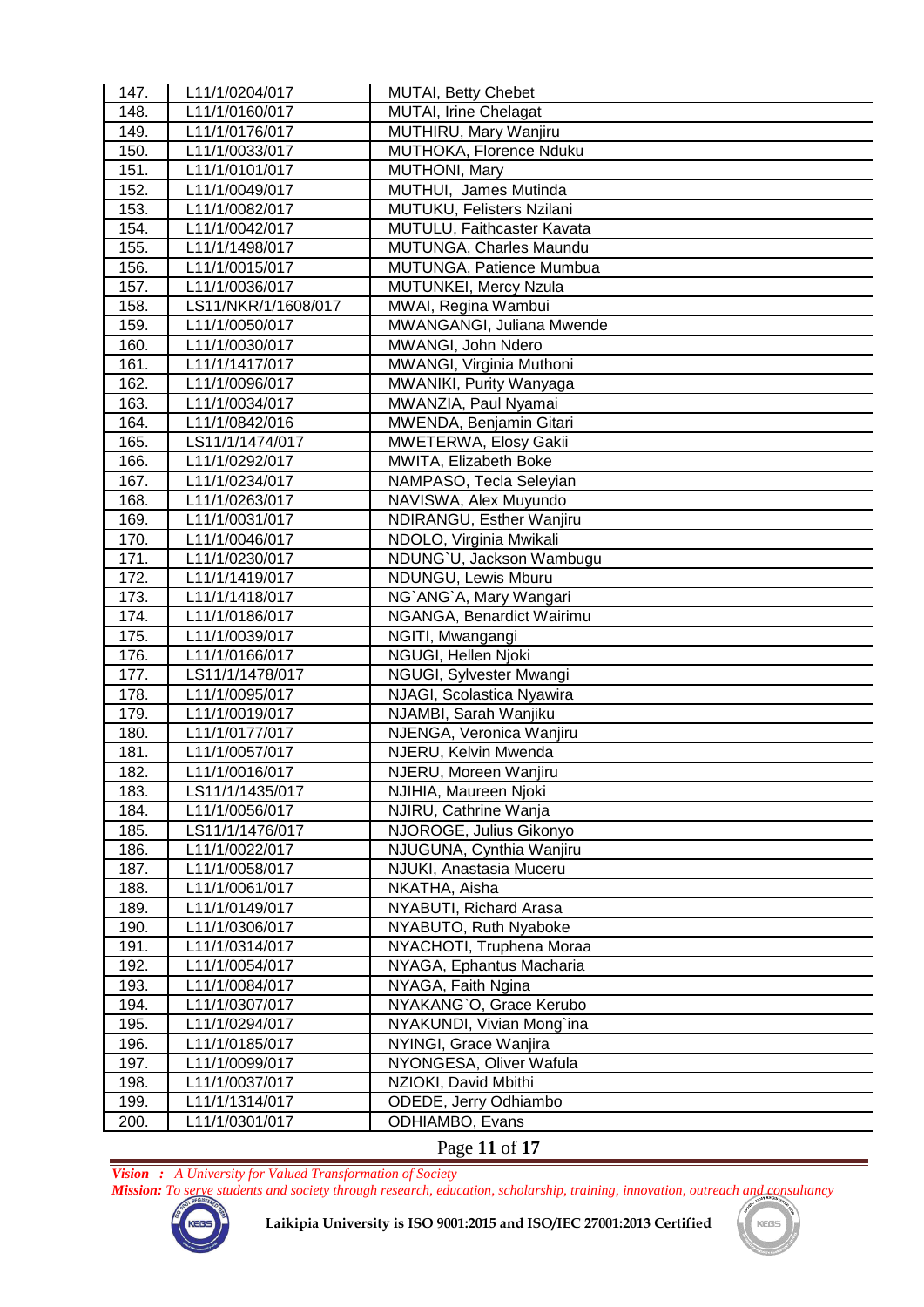| 147. | L11/1/0204/017      | <b>MUTAI, Betty Chebet</b> |
|------|---------------------|----------------------------|
| 148. | L11/1/0160/017      | MUTAI, Irine Chelagat      |
| 149. | L11/1/0176/017      | MUTHIRU, Mary Wanjiru      |
| 150. | L11/1/0033/017      | MUTHOKA, Florence Nduku    |
| 151. | L11/1/0101/017      | MUTHONI, Mary              |
| 152. | L11/1/0049/017      | MUTHUI, James Mutinda      |
| 153. | L11/1/0082/017      | MUTUKU, Felisters Nzilani  |
| 154. | L11/1/0042/017      | MUTULU, Faithcaster Kavata |
| 155. | L11/1/1498/017      | MUTUNGA, Charles Maundu    |
| 156. | L11/1/0015/017      | MUTUNGA, Patience Mumbua   |
| 157. | L11/1/0036/017      | MUTUNKEI, Mercy Nzula      |
| 158. | LS11/NKR/1/1608/017 | MWAI, Regina Wambui        |
| 159. | L11/1/0050/017      | MWANGANGI, Juliana Mwende  |
| 160. | L11/1/0030/017      | MWANGI, John Ndero         |
| 161. | L11/1/1417/017      | MWANGI, Virginia Muthoni   |
| 162. | L11/1/0096/017      | MWANIKI, Purity Wanyaga    |
| 163. | L11/1/0034/017      | MWANZIA, Paul Nyamai       |
| 164. | L11/1/0842/016      | MWENDA, Benjamin Gitari    |
| 165. | LS11/1/1474/017     | MWETERWA, Elosy Gakii      |
| 166. | L11/1/0292/017      | MWITA, Elizabeth Boke      |
| 167. | L11/1/0234/017      | NAMPASO, Tecla Seleyian    |
| 168. | L11/1/0263/017      | NAVISWA, Alex Muyundo      |
| 169. | L11/1/0031/017      | NDIRANGU, Esther Wanjiru   |
| 170. | L11/1/0046/017      | NDOLO, Virginia Mwikali    |
| 171. | L11/1/0230/017      | NDUNG'U, Jackson Wambugu   |
| 172. | L11/1/1419/017      | NDUNGU, Lewis Mburu        |
| 173. | L11/1/1418/017      | NG`ANG`A, Mary Wangari     |
| 174. | L11/1/0186/017      | NGANGA, Benardict Wairimu  |
| 175. | L11/1/0039/017      | NGITI, Mwangangi           |
| 176. | L11/1/0166/017      | NGUGI, Hellen Njoki        |
| 177. | LS11/1/1478/017     | NGUGI, Sylvester Mwangi    |
| 178. | L11/1/0095/017      | NJAGI, Scolastica Nyawira  |
| 179. | L11/1/0019/017      | NJAMBI, Sarah Wanjiku      |
| 180. | L11/1/0177/017      | NJENGA, Veronica Wanjiru   |
| 181. | L11/1/0057/017      | NJERU, Kelvin Mwenda       |
| 182. | L11/1/0016/017      | NJERU, Moreen Wanjiru      |
| 183. | LS11/1/1435/017     | NJIHIA, Maureen Njoki      |
| 184. | L11/1/0056/017      | NJIRU, Cathrine Wanja      |
| 185. | LS11/1/1476/017     | NJOROGE, Julius Gikonyo    |
| 186. | L11/1/0022/017      | NJUGUNA, Cynthia Wanjiru   |
| 187. | L11/1/0058/017      | NJUKI, Anastasia Muceru    |
| 188. | L11/1/0061/017      | NKATHA, Aisha              |
| 189. | L11/1/0149/017      | NYABUTI, Richard Arasa     |
| 190. | L11/1/0306/017      | NYABUTO, Ruth Nyaboke      |
| 191. | L11/1/0314/017      | NYACHOTI, Truphena Moraa   |
| 192. | L11/1/0054/017      | NYAGA, Ephantus Macharia   |
| 193. | L11/1/0084/017      | NYAGA, Faith Ngina         |
| 194. | L11/1/0307/017      | NYAKANG`O, Grace Kerubo    |
| 195. | L11/1/0294/017      | NYAKUNDI, Vivian Mong'ina  |
| 196. | L11/1/0185/017      | NYINGI, Grace Wanjira      |
| 197. | L11/1/0099/017      | NYONGESA, Oliver Wafula    |
| 198. | L11/1/0037/017      | NZIOKI, David Mbithi       |
| 199. | L11/1/1314/017      | ODEDE, Jerry Odhiambo      |
| 200. | L11/1/0301/017      | <b>ODHIAMBO, Evans</b>     |
|      |                     |                            |

Page **11** of **17**

*Vision : A University for Valued Transformation of Society*

*Mission: To serve students and society through research, education, scholarship, training, innovation, outreach and consultancy*



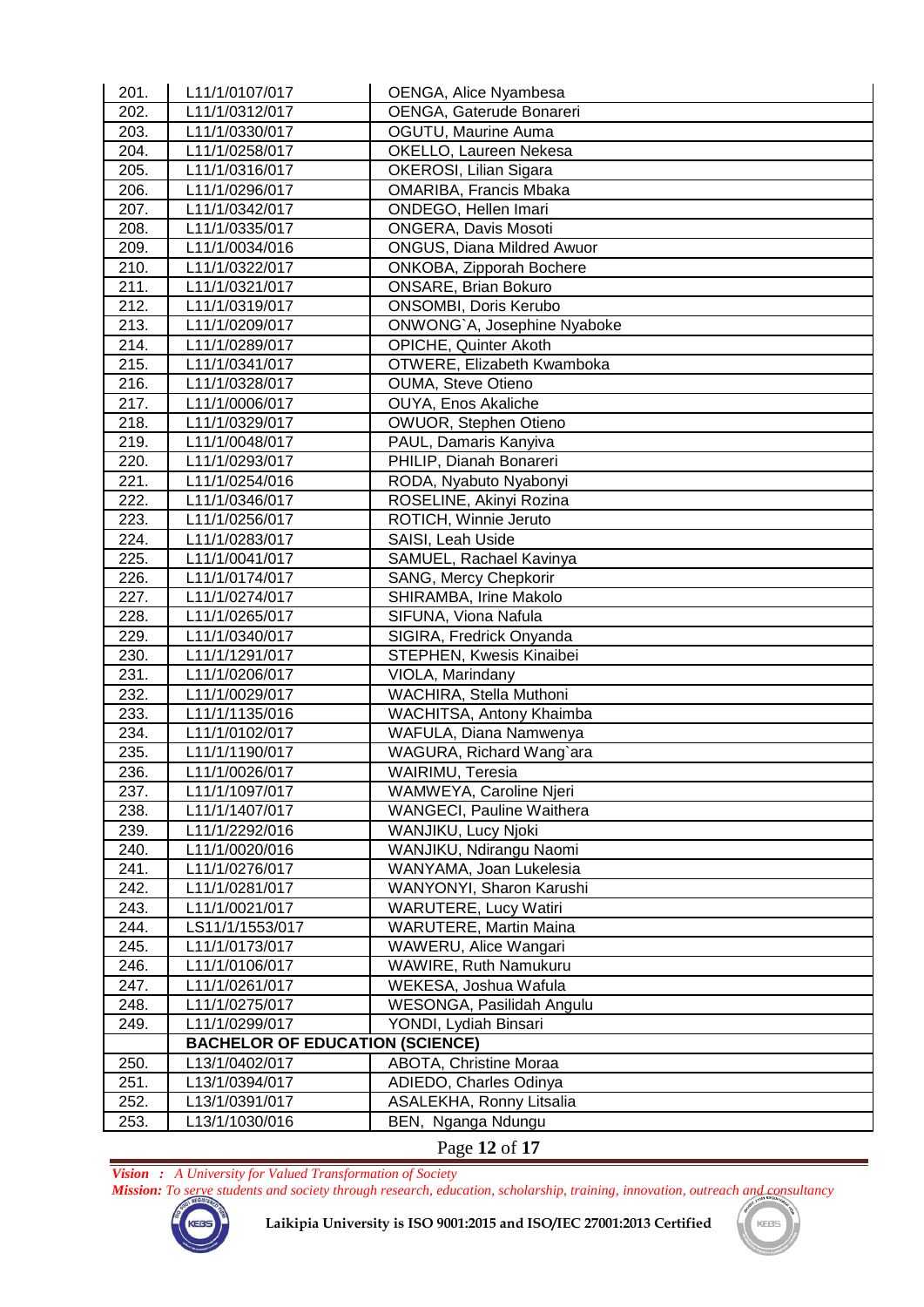| 201. | L11/1/0107/017                         | OENGA, Alice Nyambesa            |  |  |
|------|----------------------------------------|----------------------------------|--|--|
| 202. | L11/1/0312/017                         | OENGA, Gaterude Bonareri         |  |  |
| 203. | L11/1/0330/017                         | OGUTU, Maurine Auma              |  |  |
| 204. | L11/1/0258/017                         | OKELLO, Laureen Nekesa           |  |  |
| 205. | L11/1/0316/017                         | OKEROSI, Lilian Sigara           |  |  |
| 206. | L11/1/0296/017                         | OMARIBA, Francis Mbaka           |  |  |
| 207. | L11/1/0342/017                         | ONDEGO, Hellen Imari             |  |  |
| 208. | L11/1/0335/017                         | <b>ONGERA, Davis Mosoti</b>      |  |  |
| 209. | L11/1/0034/016                         | ONGUS, Diana Mildred Awuor       |  |  |
| 210. | L11/1/0322/017                         | ONKOBA, Zipporah Bochere         |  |  |
| 211. | L11/1/0321/017                         | <b>ONSARE, Brian Bokuro</b>      |  |  |
| 212. | L11/1/0319/017                         | <b>ONSOMBI, Doris Kerubo</b>     |  |  |
| 213. | L11/1/0209/017                         | ONWONG`A, Josephine Nyaboke      |  |  |
| 214. | L11/1/0289/017                         | OPICHE, Quinter Akoth            |  |  |
| 215. | L11/1/0341/017                         | OTWERE, Elizabeth Kwamboka       |  |  |
| 216. | L11/1/0328/017                         | OUMA, Steve Otieno               |  |  |
| 217. | L11/1/0006/017                         | OUYA, Enos Akaliche              |  |  |
| 218. | L11/1/0329/017                         | OWUOR, Stephen Otieno            |  |  |
| 219. | L11/1/0048/017                         | PAUL, Damaris Kanyiva            |  |  |
| 220. | L11/1/0293/017                         | PHILIP, Dianah Bonareri          |  |  |
| 221. | L11/1/0254/016                         | RODA, Nyabuto Nyabonyi           |  |  |
| 222. | L11/1/0346/017                         | ROSELINE, Akinyi Rozina          |  |  |
| 223. | L11/1/0256/017                         | ROTICH, Winnie Jeruto            |  |  |
| 224. | L11/1/0283/017                         | SAISI, Leah Uside                |  |  |
| 225. | L11/1/0041/017                         | SAMUEL, Rachael Kavinya          |  |  |
| 226. | L11/1/0174/017                         | SANG, Mercy Chepkorir            |  |  |
| 227. | L11/1/0274/017                         | SHIRAMBA, Irine Makolo           |  |  |
| 228. | L11/1/0265/017                         | SIFUNA, Viona Nafula             |  |  |
| 229. | L11/1/0340/017                         | SIGIRA, Fredrick Onyanda         |  |  |
| 230. | L11/1/1291/017                         | STEPHEN, Kwesis Kinaibei         |  |  |
| 231. | L11/1/0206/017                         | VIOLA, Marindany                 |  |  |
| 232. | L11/1/0029/017                         | WACHIRA, Stella Muthoni          |  |  |
| 233. | L11/1/1135/016                         | WACHITSA, Antony Khaimba         |  |  |
| 234. | L11/1/0102/017                         | WAFULA, Diana Namwenya           |  |  |
| 235. | L11/1/1190/017                         | WAGURA, Richard Wang`ara         |  |  |
| 236. | L11/1/0026/017                         | WAIRIMU, Teresia                 |  |  |
| 237. | L11/1/1097/017                         | WAMWEYA, Caroline Njeri          |  |  |
| 238. | L11/1/1407/017                         | <b>WANGECI, Pauline Waithera</b> |  |  |
| 239. | L11/1/2292/016                         | WANJIKU, Lucy Njoki              |  |  |
| 240. | L11/1/0020/016                         | WANJIKU, Ndirangu Naomi          |  |  |
| 241. | L11/1/0276/017                         | WANYAMA, Joan Lukelesia          |  |  |
| 242. | L11/1/0281/017                         | WANYONYI, Sharon Karushi         |  |  |
| 243. | L11/1/0021/017                         | <b>WARUTERE, Lucy Watiri</b>     |  |  |
| 244. | LS11/1/1553/017                        | <b>WARUTERE, Martin Maina</b>    |  |  |
| 245. | L11/1/0173/017                         | WAWERU, Alice Wangari            |  |  |
| 246. | L11/1/0106/017                         | WAWIRE, Ruth Namukuru            |  |  |
| 247. | L11/1/0261/017                         | WEKESA, Joshua Wafula            |  |  |
| 248. | L11/1/0275/017                         | WESONGA, Pasilidah Angulu        |  |  |
| 249. | L11/1/0299/017                         | YONDI, Lydiah Binsari            |  |  |
|      | <b>BACHELOR OF EDUCATION (SCIENCE)</b> |                                  |  |  |
| 250. | L13/1/0402/017                         | ABOTA, Christine Moraa           |  |  |
| 251. | L13/1/0394/017                         | ADIEDO, Charles Odinya           |  |  |
| 252. | L13/1/0391/017                         | ASALEKHA, Ronny Litsalia         |  |  |
| 253. | L13/1/1030/016                         | BEN, Nganga Ndungu               |  |  |

Page **12** of **17**

*Vision : A University for Valued Transformation of Society*

*Mission: To serve students and society through research, education, scholarship, training, innovation, outreach and consultancy*



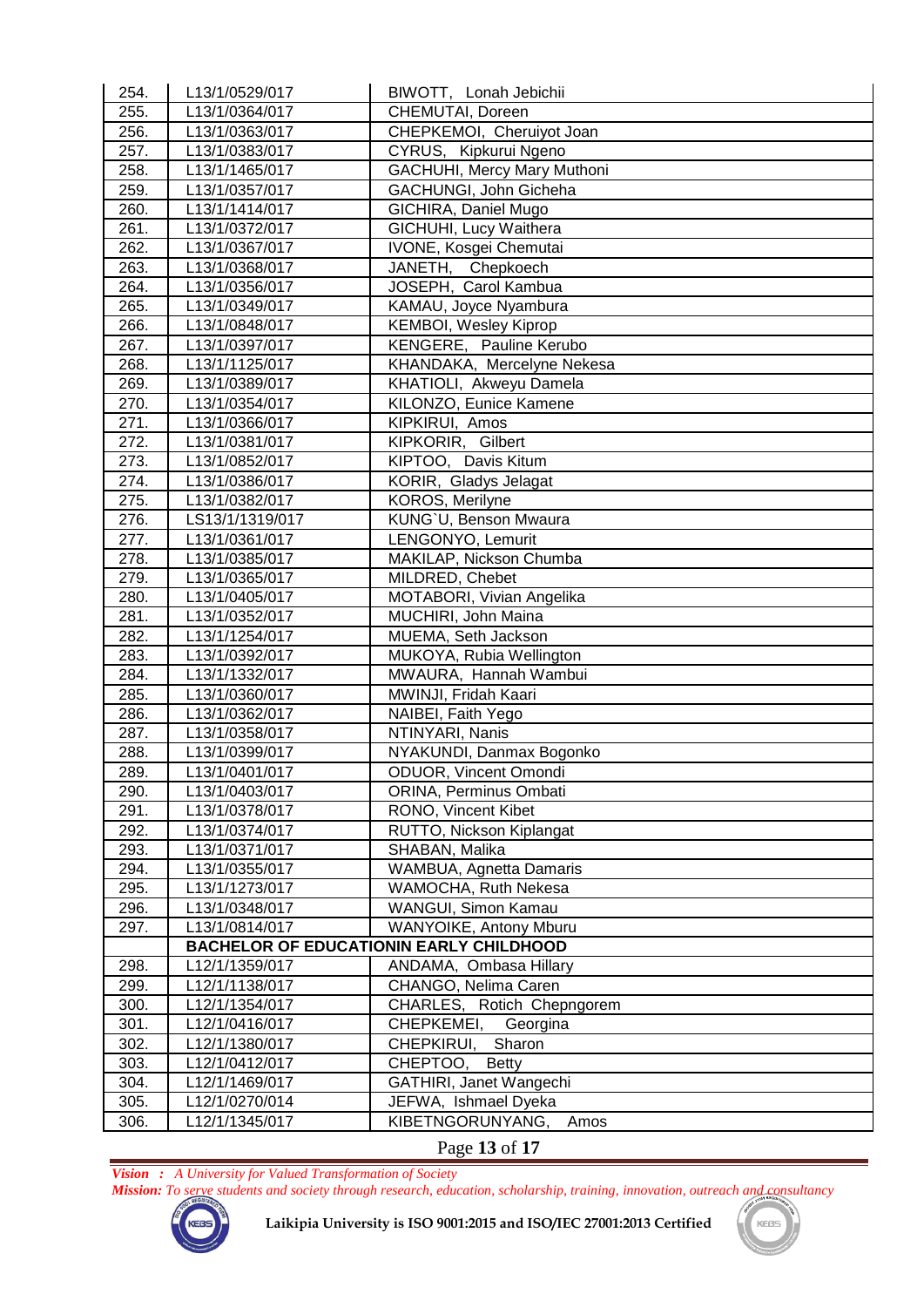| 254. | L13/1/0529/017  | BIWOTT, Lonah Jebichii                         |
|------|-----------------|------------------------------------------------|
| 255. | L13/1/0364/017  | CHEMUTAI, Doreen                               |
| 256. | L13/1/0363/017  | CHEPKEMOI, Cheruiyot Joan                      |
| 257. | L13/1/0383/017  | CYRUS, Kipkurui Ngeno                          |
| 258. | L13/1/1465/017  | <b>GACHUHI, Mercy Mary Muthoni</b>             |
| 259. | L13/1/0357/017  | GACHUNGI, John Gicheha                         |
| 260. | L13/1/1414/017  | GICHIRA, Daniel Mugo                           |
| 261. | L13/1/0372/017  | GICHUHI, Lucy Waithera                         |
| 262. | L13/1/0367/017  | <b>IVONE, Kosgei Chemutai</b>                  |
| 263. | L13/1/0368/017  | JANETH, Chepkoech                              |
| 264. | L13/1/0356/017  | JOSEPH, Carol Kambua                           |
| 265. | L13/1/0349/017  | KAMAU, Joyce Nyambura                          |
| 266. | L13/1/0848/017  | <b>KEMBOI, Wesley Kiprop</b>                   |
| 267. | L13/1/0397/017  | KENGERE, Pauline Kerubo                        |
| 268. | L13/1/1125/017  | KHANDAKA, Mercelyne Nekesa                     |
| 269. | L13/1/0389/017  | KHATIOLI, Akweyu Damela                        |
| 270. | L13/1/0354/017  | KILONZO, Eunice Kamene                         |
| 271. | L13/1/0366/017  | KIPKIRUI, Amos                                 |
| 272. | L13/1/0381/017  | KIPKORIR, Gilbert                              |
| 273. | L13/1/0852/017  | KIPTOO, Davis Kitum                            |
| 274. | L13/1/0386/017  | KORIR, Gladys Jelagat                          |
| 275. | L13/1/0382/017  | KOROS, Merilyne                                |
| 276. | LS13/1/1319/017 | KUNG'U, Benson Mwaura                          |
| 277. | L13/1/0361/017  | LENGONYO, Lemurit                              |
| 278. | L13/1/0385/017  | MAKILAP, Nickson Chumba                        |
| 279. | L13/1/0365/017  | MILDRED, Chebet                                |
| 280. | L13/1/0405/017  | MOTABORI, Vivian Angelika                      |
| 281. | L13/1/0352/017  | MUCHIRI, John Maina                            |
| 282. | L13/1/1254/017  | MUEMA, Seth Jackson                            |
| 283. | L13/1/0392/017  | MUKOYA, Rubia Wellington                       |
| 284. | L13/1/1332/017  | MWAURA, Hannah Wambui                          |
| 285. | L13/1/0360/017  | MWINJI, Fridah Kaari                           |
| 286. | L13/1/0362/017  | NAIBEI, Faith Yego                             |
| 287. | L13/1/0358/017  | NTINYARI, Nanis                                |
| 288. | L13/1/0399/017  | NYAKUNDI, Danmax Bogonko                       |
| 289. | L13/1/0401/017  | <b>ODUOR, Vincent Omondi</b>                   |
| 290. | L13/1/0403/017  | ORINA, Perminus Ombati                         |
| 291. | L13/1/0378/017  | RONO, Vincent Kibet                            |
| 292. | L13/1/0374/017  | RUTTO, Nickson Kiplangat                       |
| 293. | L13/1/0371/017  | SHABAN, Malika                                 |
| 294. | L13/1/0355/017  | WAMBUA, Agnetta Damaris                        |
| 295. | L13/1/1273/017  | WAMOCHA, Ruth Nekesa                           |
| 296. | L13/1/0348/017  | WANGUI, Simon Kamau                            |
| 297. | L13/1/0814/017  | WANYOIKE, Antony Mburu                         |
|      |                 | <b>BACHELOR OF EDUCATIONIN EARLY CHILDHOOD</b> |
| 298. | L12/1/1359/017  | ANDAMA, Ombasa Hillary                         |
| 299. | L12/1/1138/017  | CHANGO, Nelima Caren                           |
| 300. | L12/1/1354/017  | CHARLES, Rotich Chepngorem                     |
| 301. | L12/1/0416/017  | CHEPKEMEI,<br>Georgina                         |
| 302. | L12/1/1380/017  | Sharon<br>CHEPKIRUI,                           |
| 303. | L12/1/0412/017  | CHEPTOO,<br><b>Betty</b>                       |
| 304. | L12/1/1469/017  | GATHIRI, Janet Wangechi                        |
| 305. | L12/1/0270/014  | JEFWA, Ishmael Dyeka                           |
| 306. | L12/1/1345/017  | KIBETNGORUNYANG,<br>Amos                       |
|      |                 |                                                |

Page **13** of **17**

*Vision : A University for Valued Transformation of Society*

*Mission: To serve students and society through research, education, scholarship, training, innovation, outreach and consultancy*



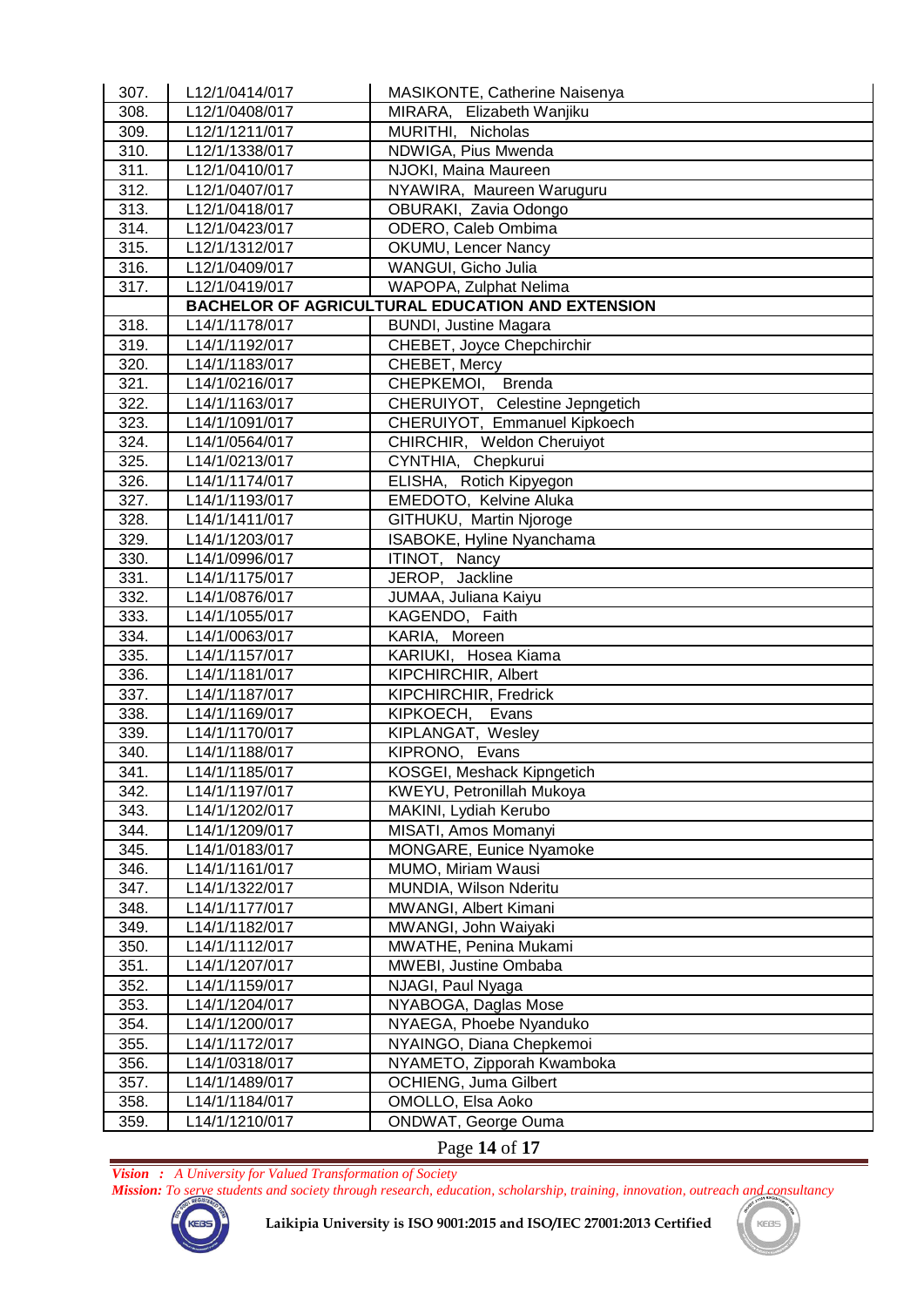| 307.              | L12/1/0414/017 | MASIKONTE, Catherine Naisenya                    |
|-------------------|----------------|--------------------------------------------------|
| 308.              | L12/1/0408/017 | MIRARA, Elizabeth Wanjiku                        |
| 309.              | L12/1/1211/017 | MURITHI, Nicholas                                |
| 310.              | L12/1/1338/017 | NDWIGA, Pius Mwenda                              |
| 311.              | L12/1/0410/017 | NJOKI, Maina Maureen                             |
| 312.              | L12/1/0407/017 | NYAWIRA, Maureen Waruguru                        |
| 313.              | L12/1/0418/017 | OBURAKI, Zavia Odongo                            |
| 314.              | L12/1/0423/017 | ODERO, Caleb Ombima                              |
| 315.              | L12/1/1312/017 | <b>OKUMU, Lencer Nancy</b>                       |
| 316.              | L12/1/0409/017 | WANGUI, Gicho Julia                              |
| $\overline{3}17.$ | L12/1/0419/017 | WAPOPA, Zulphat Nelima                           |
|                   |                | BACHELOR OF AGRICULTURAL EDUCATION AND EXTENSION |
| 318.              | L14/1/1178/017 | <b>BUNDI, Justine Magara</b>                     |
| 319.              | L14/1/1192/017 | CHEBET, Joyce Chepchirchir                       |
| 320.              | L14/1/1183/017 | CHEBET, Mercy                                    |
| 321.              | L14/1/0216/017 | <b>Brenda</b><br>CHEPKEMOI,                      |
| 322.              | L14/1/1163/017 | CHERUIYOT, Celestine Jepngetich                  |
| 323.              | L14/1/1091/017 | CHERUIYOT, Emmanuel Kipkoech                     |
| 324.              | L14/1/0564/017 | CHIRCHIR, Weldon Cheruiyot                       |
| 325.              | L14/1/0213/017 | CYNTHIA, Chepkurui                               |
| 326.              | L14/1/1174/017 | ELISHA, Rotich Kipyegon                          |
| 327.              | L14/1/1193/017 | EMEDOTO, Kelvine Aluka                           |
| 328.              | L14/1/1411/017 | GITHUKU, Martin Njoroge                          |
| 329.              | L14/1/1203/017 | ISABOKE, Hyline Nyanchama                        |
| 330.              | L14/1/0996/017 | ITINOT, Nancy                                    |
| 331.              | L14/1/1175/017 | JEROP, Jackline                                  |
| 332.              | L14/1/0876/017 | JUMAA, Juliana Kaiyu                             |
| 333.              | L14/1/1055/017 | KAGENDO, Faith                                   |
| 334.              | L14/1/0063/017 | KARIA, Moreen                                    |
| 335.              | L14/1/1157/017 | KARIUKI, Hosea Kiama                             |
| 336.              | L14/1/1181/017 | KIPCHIRCHIR, Albert                              |
| 337.              | L14/1/1187/017 | KIPCHIRCHIR, Fredrick                            |
| 338.              | L14/1/1169/017 | KIPKOECH,<br>Evans                               |
| 339.              | L14/1/1170/017 | KIPLANGAT, Wesley                                |
| 340.              | L14/1/1188/017 | KIPRONO, Evans                                   |
| 341.              | L14/1/1185/017 | KOSGEI, Meshack Kipngetich                       |
| 342.              | L14/1/1197/017 | KWEYU, Petronillah Mukoya                        |
| 343.              | L14/1/1202/017 | MAKINI, Lydiah Kerubo                            |
| 344.              | L14/1/1209/017 | MISATI, Amos Momanyi                             |
| 345.              | L14/1/0183/017 | MONGARE, Eunice Nyamoke                          |
| 346.              | L14/1/1161/017 | MUMO, Miriam Wausi                               |
| 347.              | L14/1/1322/017 | MUNDIA, Wilson Nderitu                           |
| 348.              | L14/1/1177/017 | MWANGI, Albert Kimani                            |
| 349.              | L14/1/1182/017 | MWANGI, John Waiyaki                             |
| 350.              | L14/1/1112/017 | MWATHE, Penina Mukami                            |
| 351.              | L14/1/1207/017 | MWEBI, Justine Ombaba                            |
| 352.              | L14/1/1159/017 | NJAGI, Paul Nyaga                                |
| 353.              | L14/1/1204/017 | NYABOGA, Daglas Mose                             |
| 354.              | L14/1/1200/017 | NYAEGA, Phoebe Nyanduko                          |
| 355.              | L14/1/1172/017 | NYAINGO, Diana Chepkemoi                         |
| 356.              | L14/1/0318/017 | NYAMETO, Zipporah Kwamboka                       |
| 357.              | L14/1/1489/017 | OCHIENG, Juma Gilbert                            |
| 358.              | L14/1/1184/017 | OMOLLO, Elsa Aoko                                |
| 359.              | L14/1/1210/017 | ONDWAT, George Ouma                              |
|                   |                |                                                  |
|                   |                | Page 14 of 17                                    |

*Vision : A University for Valued Transformation of Society*

*Mission: To serve students and society through research, education, scholarship, training, innovation, outreach and consultancy*



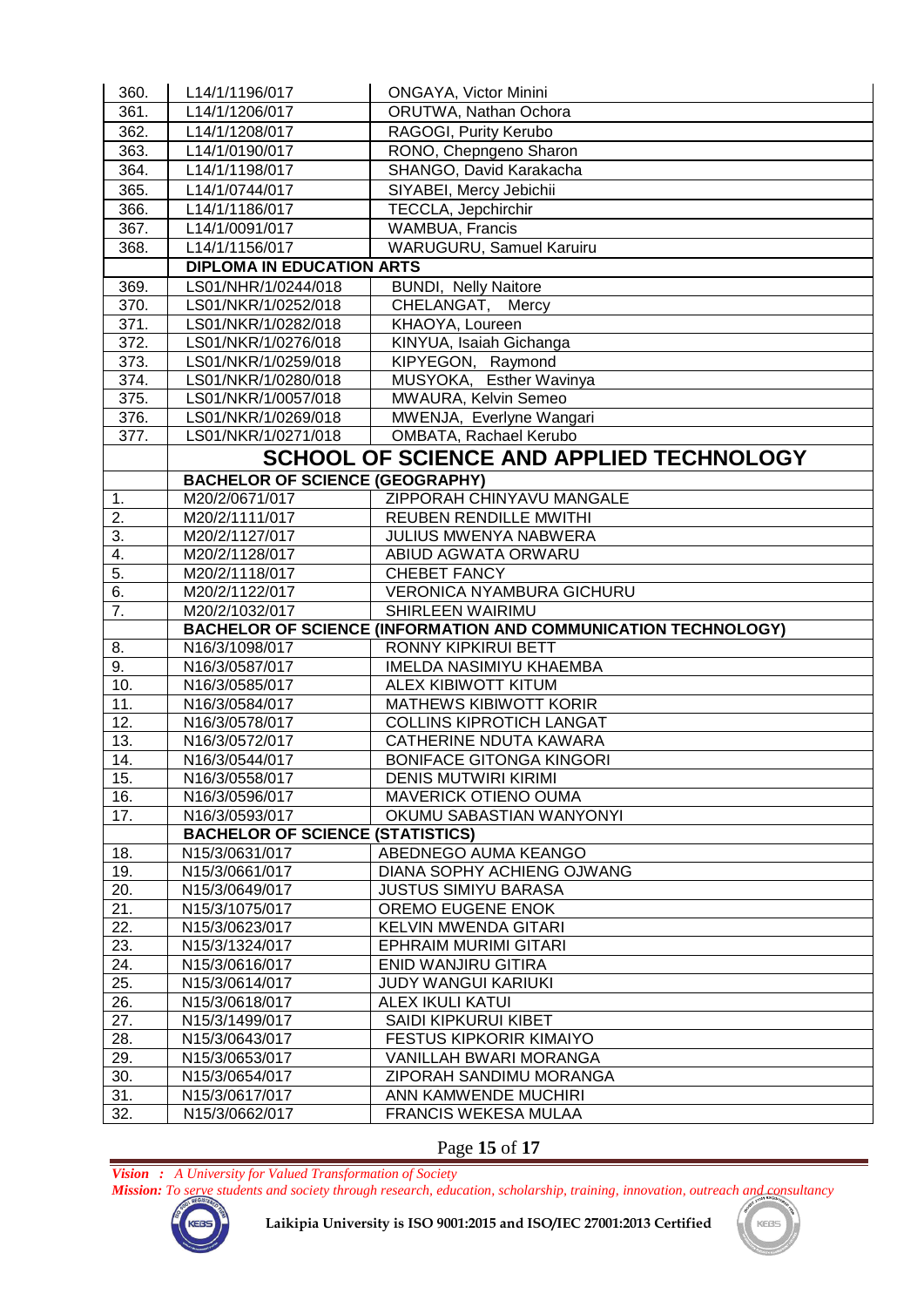| 360.              | L14/1/1196/017                                  | ONGAYA, Victor Minini                                                 |  |
|-------------------|-------------------------------------------------|-----------------------------------------------------------------------|--|
| 361.              | L14/1/1206/017                                  | ORUTWA, Nathan Ochora                                                 |  |
| 362.              | L14/1/1208/017                                  | RAGOGI, Purity Kerubo                                                 |  |
| 363.              | L14/1/0190/017                                  | RONO, Chepngeno Sharon                                                |  |
| 364.              | L14/1/1198/017                                  | SHANGO, David Karakacha                                               |  |
| 365.              | L14/1/0744/017                                  | SIYABEI, Mercy Jebichii                                               |  |
| 366.              | L14/1/1186/017                                  | TECCLA, Jepchirchir                                                   |  |
| 367.              | L14/1/0091/017                                  | WAMBUA, Francis                                                       |  |
| 368.              | L14/1/1156/017                                  | WARUGURU, Samuel Karuiru                                              |  |
|                   | <b>DIPLOMA IN EDUCATION ARTS</b>                |                                                                       |  |
| 369.              | LS01/NHR/1/0244/018                             |                                                                       |  |
| 370.              | LS01/NKR/1/0252/018                             | <b>BUNDI, Nelly Naitore</b><br>CHELANGAT, Mercy                       |  |
| 371.              | LS01/NKR/1/0282/018                             | KHAOYA, Loureen                                                       |  |
| 372.              | LS01/NKR/1/0276/018                             | KINYUA, Isaiah Gichanga                                               |  |
| 373.              | LS01/NKR/1/0259/018                             | KIPYEGON, Raymond                                                     |  |
| 374.              | LS01/NKR/1/0280/018                             | MUSYOKA, Esther Wavinya                                               |  |
| 375.              | LS01/NKR/1/0057/018                             | MWAURA, Kelvin Semeo                                                  |  |
| 376.              | LS01/NKR/1/0269/018                             | MWENJA, Everlyne Wangari                                              |  |
| 377.              | LS01/NKR/1/0271/018                             | OMBATA, Rachael Kerubo                                                |  |
|                   |                                                 |                                                                       |  |
|                   | <b>SCHOOL OF SCIENCE AND APPLIED TECHNOLOGY</b> |                                                                       |  |
|                   | <b>BACHELOR OF SCIENCE (GEOGRAPHY)</b>          |                                                                       |  |
| $\mathbf 1$ .     | M20/2/0671/017                                  | ZIPPORAH CHINYAVU MANGALE                                             |  |
| 2.                | M20/2/1111/017                                  | <b>REUBEN RENDILLE MWITHI</b>                                         |  |
| 3.                | M20/2/1127/017                                  | JULIUS MWENYA NABWERA                                                 |  |
| 4.                | M20/2/1128/017                                  | ABIUD AGWATA ORWARU                                                   |  |
| 5.                | M20/2/1118/017                                  | <b>CHEBET FANCY</b>                                                   |  |
| 6.                | M20/2/1122/017                                  | <b>VERONICA NYAMBURA GICHURU</b>                                      |  |
| 7.                | M20/2/1032/017                                  | SHIRLEEN WAIRIMU                                                      |  |
|                   |                                                 | <b>BACHELOR OF SCIENCE (INFORMATION AND COMMUNICATION TECHNOLOGY)</b> |  |
| 8.                | N16/3/1098/017                                  | <b>RONNY KIPKIRUI BETT</b>                                            |  |
| 9.                | N16/3/0587/017                                  | <b>IMELDA NASIMIYU KHAEMBA</b>                                        |  |
| 10.               | N16/3/0585/017                                  | <b>ALEX KIBIWOTT KITUM</b>                                            |  |
| 11.               | N16/3/0584/017                                  | <b>MATHEWS KIBIWOTT KORIR</b>                                         |  |
| 12.               | N16/3/0578/017                                  | <b>COLLINS KIPROTICH LANGAT</b>                                       |  |
| 13.               | N16/3/0572/017                                  | <b>CATHERINE NDUTA KAWARA</b>                                         |  |
| 14.               | N16/3/0544/017                                  | <b>BONIFACE GITONGA KINGORI</b>                                       |  |
| 15.               | N16/3/0558/017                                  | <b>DENIS MUTWIRI KIRIMI</b>                                           |  |
| 16.               | N16/3/0596/017                                  | <b>MAVERICK OTIENO OUMA</b>                                           |  |
| 17.               | N16/3/0593/017                                  | OKUMU SABASTIAN WANYONYI                                              |  |
|                   | <b>BACHELOR OF SCIENCE (STATISTICS)</b>         |                                                                       |  |
| 18.<br>19.        | N15/3/0631/017                                  | ABEDNEGO AUMA KEANGO                                                  |  |
|                   |                                                 |                                                                       |  |
| 20.               | N15/3/0661/017                                  | DIANA SOPHY ACHIENG OJWANG                                            |  |
| 21.               | N15/3/0649/017                                  | <b>JUSTUS SIMIYU BARASA</b>                                           |  |
|                   | N15/3/1075/017                                  | OREMO EUGENE ENOK                                                     |  |
| 22.               | N15/3/0623/017                                  | <b>KELVIN MWENDA GITARI</b>                                           |  |
| 23.               | N15/3/1324/017                                  | <b>EPHRAIM MURIMI GITARI</b>                                          |  |
| 24.               | N15/3/0616/017                                  | <b>ENID WANJIRU GITIRA</b>                                            |  |
| 25.               | N15/3/0614/017                                  | JUDY WANGUI KARIUKI                                                   |  |
| 26.               | N15/3/0618/017                                  | <b>ALEX IKULI KATUI</b>                                               |  |
| $\overline{27}$ . | N15/3/1499/017                                  | SAIDI KIPKURUI KIBET                                                  |  |
| 28.               | N15/3/0643/017                                  | FESTUS KIPKORIR KIMAIYO                                               |  |
| 29.               | N15/3/0653/017                                  | VANILLAH BWARI MORANGA                                                |  |
| 30.               | N15/3/0654/017                                  | ZIPORAH SANDIMU MORANGA                                               |  |
| 31.<br>32.        | N15/3/0617/017<br>N15/3/0662/017                | ANN KAMWENDE MUCHIRI<br>FRANCIS WEKESA MULAA                          |  |

# Page **15** of **17**

*Vision : A University for Valued Transformation of Society*

*Mission: To serve students and society through research, education, scholarship, training, innovation, outreach and consultancy*



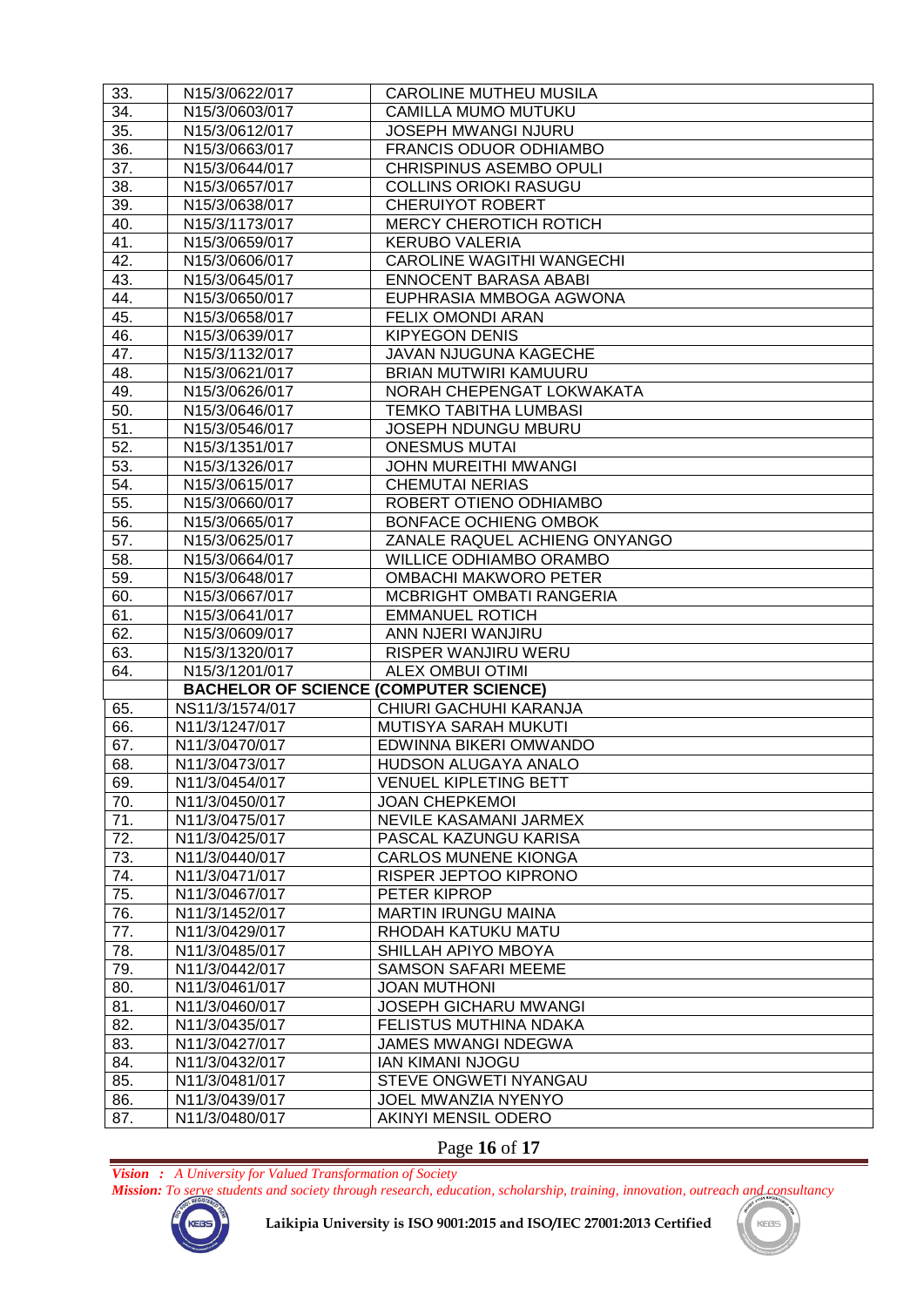| 33.        | N15/3/0622/017                                | <b>CAROLINE MUTHEU MUSILA</b>                     |
|------------|-----------------------------------------------|---------------------------------------------------|
| 34.        | N15/3/0603/017                                | <b>CAMILLA MUMO MUTUKU</b>                        |
| 35.        | N15/3/0612/017                                | JOSEPH MWANGI NJURU                               |
| 36.        | N15/3/0663/017                                | <b>FRANCIS ODUOR ODHIAMBO</b>                     |
| 37.        | N15/3/0644/017                                | CHRISPINUS ASEMBO OPULI                           |
| 38.        | N15/3/0657/017                                | <b>COLLINS ORIOKI RASUGU</b>                      |
| 39.        | N15/3/0638/017                                | <b>CHERUIYOT ROBERT</b>                           |
| 40.        | N15/3/1173/017                                | <b>MERCY CHEROTICH ROTICH</b>                     |
| 41.        | N15/3/0659/017                                | <b>KERUBO VALERIA</b>                             |
| 42.        | N15/3/0606/017                                | <b>CAROLINE WAGITHI WANGECHI</b>                  |
| 43.        | N15/3/0645/017                                | <b>ENNOCENT BARASA ABABI</b>                      |
| 44.        | N15/3/0650/017                                | EUPHRASIA MMBOGA AGWONA                           |
| 45.        | N15/3/0658/017                                | FELIX OMONDI ARAN                                 |
| 46.        | N15/3/0639/017                                | <b>KIPYEGON DENIS</b>                             |
| 47.        | N15/3/1132/017                                | JAVAN NJUGUNA KAGECHE                             |
| 48.        | N15/3/0621/017                                | BRIAN MUTWIRI KAMUURU                             |
| 49.        | N15/3/0626/017                                | NORAH CHEPENGAT LOKWAKATA                         |
| 50.        | N15/3/0646/017                                | <b>TEMKO TABITHA LUMBASI</b>                      |
| 51.        | N15/3/0546/017                                | JOSEPH NDUNGU MBURU                               |
| 52.        | N15/3/1351/017                                | <b>ONESMUS MUTAI</b>                              |
| 53.        | N15/3/1326/017                                | <b>JOHN MUREITHI MWANGI</b>                       |
| 54.        | N15/3/0615/017                                | <b>CHEMUTAI NERIAS</b>                            |
| 55.        | N15/3/0660/017                                | ROBERT OTIENO ODHIAMBO                            |
| 56.        | N15/3/0665/017                                | BONFACE OCHIENG OMBOK                             |
| 57.        | N15/3/0625/017                                | ZANALE RAQUEL ACHIENG ONYANGO                     |
| 58.        | N15/3/0664/017                                | <b>WILLICE ODHIAMBO ORAMBO</b>                    |
| 59.        | N15/3/0648/017                                | <b>OMBACHI MAKWORO PETER</b>                      |
| 60.        | N15/3/0667/017                                | MCBRIGHT OMBATI RANGERIA                          |
| 61.        | N15/3/0641/017                                | <b>EMMANUEL ROTICH</b>                            |
| 62.        | N15/3/0609/017                                | ANN NJERI WANJIRU                                 |
| 63.        | N15/3/1320/017                                | RISPER WANJIRU WERU                               |
| 64.        | N15/3/1201/017                                | <b>ALEX OMBUI OTIMI</b>                           |
|            | <b>BACHELOR OF SCIENCE (COMPUTER SCIENCE)</b> |                                                   |
| 65.        | NS11/3/1574/017                               | CHIURI GACHUHI KARANJA                            |
| 66.        | N11/3/1247/017                                | MUTISYA SARAH MUKUTI                              |
| 67.        | N11/3/0470/017                                | EDWINNA BIKERI OMWANDO                            |
| 68.        | N11/3/0473/017                                | HUDSON ALUGAYA ANALO                              |
| 69.        | N11/3/0454/017                                | <b>VENUEL KIPLETING BETT</b>                      |
| 70.        | N11/3/0450/017                                | <b>JOAN CHEPKEMOI</b>                             |
| 71.        | N11/3/0475/017                                | NEVILE KASAMANI JARMEX                            |
| 72.        | N11/3/0425/017                                | PASCAL KAZUNGU KARISA                             |
| 73.        | N11/3/0440/017                                | <b>CARLOS MUNENE KIONGA</b>                       |
| 74.        | N11/3/0471/017                                | RISPER JEPTOO KIPRONO                             |
| 75.        | N11/3/0467/017                                | PETER KIPROP                                      |
| 76.        | N11/3/1452/017                                | <b>MARTIN IRUNGU MAINA</b>                        |
| 77.        | N11/3/0429/017                                | RHODAH KATUKU MATU<br>SHILLAH APIYO MBOYA         |
| 78.        | N11/3/0485/017                                |                                                   |
| 79.<br>80. | N11/3/0442/017                                | <b>SAMSON SAFARI MEEME</b><br><b>JOAN MUTHONI</b> |
| 81.        | N11/3/0461/017<br>N11/3/0460/017              | <b>JOSEPH GICHARU MWANGI</b>                      |
| 82.        | N11/3/0435/017                                | FELISTUS MUTHINA NDAKA                            |
| 83.        | N11/3/0427/017                                | <b>JAMES MWANGI NDEGWA</b>                        |
| 84.        | N11/3/0432/017                                | <b>IAN KIMANI NJOGU</b>                           |
| 85.        | N11/3/0481/017                                | STEVE ONGWETI NYANGAU                             |
| 86.        | N11/3/0439/017                                | JOEL MWANZIA NYENYO                               |
| 87.        | N11/3/0480/017                                | AKINYI MENSIL ODERO                               |
|            |                                               |                                                   |

Page **16** of **17**

*Vision : A University for Valued Transformation of Society*

*Mission: To serve students and society through research, education, scholarship, training, innovation, outreach and consultancy*